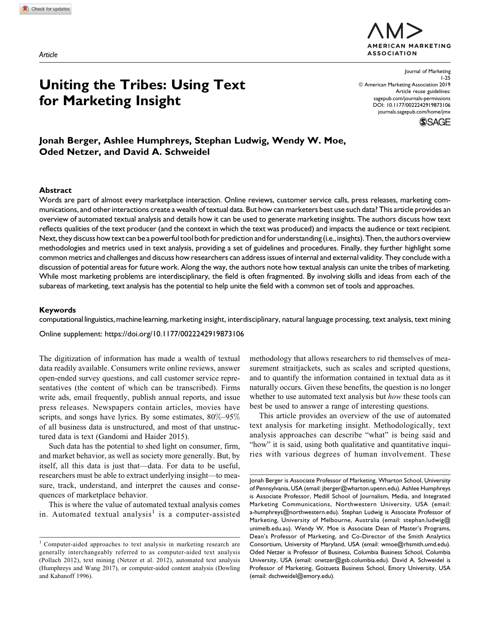# Uniting the Tribes: Using Text for Marketing Insight



Journal of Marketing 1-25 © American Marketing Association 2019 Article reuse guidelines: [sagepub.com/journals-permissions](https://sagepub.com/journals-permissions) [DOI: 10.1177/0022242919873106](https://doi.org/10.1177/0022242919873106) [journals.sagepub.com/home/jmx](http://journals.sagepub.com/home/jmx)



# Jonah Berger, Ashlee Humphreys, Stephan Ludwig, Wendy W. Moe, Oded Netzer, and David A. Schweidel

#### Abstract

Words are part of almost every marketplace interaction. Online reviews, customer service calls, press releases, marketing communications, and other interactions create a wealth of textual data. But how can marketers best use such data? This article provides an overview of automated textual analysis and details how it can be used to generate marketing insights. The authors discuss how text reflects qualities of the text producer (and the context in which the text was produced) and impacts the audience or text recipient. Next, they discuss how text can be a powerful tool both for prediction and for understanding (i.e., insights). Then, the authors overview methodologies and metrics used in text analysis, providing a set of guidelines and procedures. Finally, they further highlight some common metrics and challenges and discuss how researchers can address issues of internal and external validity. They conclude with a discussion of potential areas for future work. Along the way, the authors note how textual analysis can unite the tribes of marketing. While most marketing problems are interdisciplinary, the field is often fragmented. By involving skills and ideas from each of the subareas of marketing, text analysis has the potential to help unite the field with a common set of tools and approaches.

#### Keywords

computational linguistics, machine learning, marketing insight, interdisciplinary, natural language processing, text analysis, text mining

Online supplement:<https://doi.org/10.1177/0022242919873106>

The digitization of information has made a wealth of textual data readily available. Consumers write online reviews, answer open-ended survey questions, and call customer service representatives (the content of which can be transcribed). Firms write ads, email frequently, publish annual reports, and issue press releases. Newspapers contain articles, movies have scripts, and songs have lyrics. By some estimates, 80%–95% of all business data is unstructured, and most of that unstructured data is text (Gandomi and Haider 2015).

Such data has the potential to shed light on consumer, firm, and market behavior, as well as society more generally. But, by itself, all this data is just that—data. For data to be useful, researchers must be able to extract underlying insight—to measure, track, understand, and interpret the causes and consequences of marketplace behavior.

This is where the value of automated textual analysis comes in. Automated textual analysis<sup>1</sup> is a computer-assisted

methodology that allows researchers to rid themselves of measurement straitjackets, such as scales and scripted questions, and to quantify the information contained in textual data as it naturally occurs. Given these benefits, the question is no longer whether to use automated text analysis but how these tools can best be used to answer a range of interesting questions.

This article provides an overview of the use of automated text analysis for marketing insight. Methodologically, text analysis approaches can describe "what" is being said and "how" it is said, using both qualitative and quantitative inquiries with various degrees of human involvement. These

<sup>1</sup> Computer-aided approaches to text analysis in marketing research are generally interchangeably referred to as computer-aided text analysis (Pollach 2012), text mining (Netzer et al. 2012), automated text analysis (Humphreys and Wang 2017), or computer-aided content analysis (Dowling and Kabanoff 1996).

Jonah Berger is Associate Professor of Marketing, Wharton School, University of Pennsylvania, USA (email: [jberger@wharton.upenn.edu](mailto:jberger@wharton.upenn.edu)). Ashlee Humphreys is Associate Professor, Medill School of Journalism, Media, and Integrated Marketing Communications, Northwestern University, USA (email: [a-humphreys@northwestern.edu\)](mailto:a-humphreys@northwestern.edu). Stephan Ludwig is Associate Professor of Marketing, University of Melbourne, Australia (email: [stephan.ludwig@](mailto:stephan.ludwig@unimelb.edu.au) [unimelb.edu.au\)](mailto:stephan.ludwig@unimelb.edu.au). Wendy W. Moe is Associate Dean of Master's Programs, Dean's Professor of Marketing, and Co-Director of the Smith Analytics Consortium, University of Maryland, USA (email: [wmoe@rhsmith.umd.edu\)](mailto:wmoe@rhsmith.umd.edu). Oded Netzer is Professor of Business, Columbia Business School, Columbia University, USA (email: [onetzer@gsb.columbia.edu](mailto:onetzer@gsb.columbia.edu)). David A. Schweidel is Professor of Marketing, Goizueta Business School, Emory University, USA (email: [dschweidel@emory.edu\)](mailto:dschweidel@emory.edu).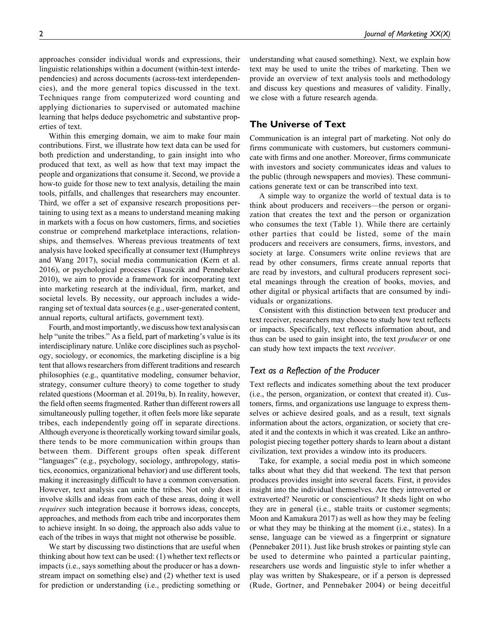approaches consider individual words and expressions, their linguistic relationships within a document (within-text interdependencies) and across documents (across-text interdependencies), and the more general topics discussed in the text. Techniques range from computerized word counting and applying dictionaries to supervised or automated machine learning that helps deduce psychometric and substantive properties of text.

Within this emerging domain, we aim to make four main contributions. First, we illustrate how text data can be used for both prediction and understanding, to gain insight into who produced that text, as well as how that text may impact the people and organizations that consume it. Second, we provide a how-to guide for those new to text analysis, detailing the main tools, pitfalls, and challenges that researchers may encounter. Third, we offer a set of expansive research propositions pertaining to using text as a means to understand meaning making in markets with a focus on how customers, firms, and societies construe or comprehend marketplace interactions, relationships, and themselves. Whereas previous treatments of text analysis have looked specifically at consumer text (Humphreys and Wang 2017), social media communication (Kern et al. 2016), or psychological processes (Tausczik and Pennebaker 2010), we aim to provide a framework for incorporating text into marketing research at the individual, firm, market, and societal levels. By necessity, our approach includes a wideranging set of textual data sources (e.g., user-generated content, annual reports, cultural artifacts, government text).

Fourth, and mostimportantly, we discuss how text analysis can help "unite the tribes." As a field, part of marketing's value is its interdisciplinary nature. Unlike core disciplines such as psychology, sociology, or economics, the marketing discipline is a big tent that allows researchers from different traditions and research philosophies (e.g., quantitative modeling, consumer behavior, strategy, consumer culture theory) to come together to study related questions (Moorman et al. 2019a, b). In reality, however, the field often seems fragmented. Rather than different rowers all simultaneously pulling together, it often feels more like separate tribes, each independently going off in separate directions. Although everyone is theoretically working toward similar goals, there tends to be more communication within groups than between them. Different groups often speak different "languages" (e.g., psychology, sociology, anthropology, statistics, economics, organizational behavior) and use different tools, making it increasingly difficult to have a common conversation. However, text analysis can unite the tribes. Not only does it involve skills and ideas from each of these areas, doing it well requires such integration because it borrows ideas, concepts, approaches, and methods from each tribe and incorporates them to achieve insight. In so doing, the approach also adds value to each of the tribes in ways that might not otherwise be possible.

We start by discussing two distinctions that are useful when thinking about how text can be used: (1) whether text reflects or impacts (i.e., says something about the producer or has a downstream impact on something else) and (2) whether text is used for prediction or understanding (i.e., predicting something or understanding what caused something). Next, we explain how text may be used to unite the tribes of marketing. Then we provide an overview of text analysis tools and methodology and discuss key questions and measures of validity. Finally, we close with a future research agenda.

## The Universe of Text

Communication is an integral part of marketing. Not only do firms communicate with customers, but customers communicate with firms and one another. Moreover, firms communicate with investors and society communicates ideas and values to the public (through newspapers and movies). These communications generate text or can be transcribed into text.

A simple way to organize the world of textual data is to think about producers and receivers—the person or organization that creates the text and the person or organization who consumes the text (Table 1). While there are certainly other parties that could be listed, some of the main producers and receivers are consumers, firms, investors, and society at large. Consumers write online reviews that are read by other consumers, firms create annual reports that are read by investors, and cultural producers represent societal meanings through the creation of books, movies, and other digital or physical artifacts that are consumed by individuals or organizations.

Consistent with this distinction between text producer and text receiver, researchers may choose to study how text reflects or impacts. Specifically, text reflects information about, and thus can be used to gain insight into, the text *producer* or one can study how text impacts the text receiver.

## Text as a Reflection of the Producer

Text reflects and indicates something about the text producer (i.e., the person, organization, or context that created it). Customers, firms, and organizations use language to express themselves or achieve desired goals, and as a result, text signals information about the actors, organization, or society that created it and the contexts in which it was created. Like an anthropologist piecing together pottery shards to learn about a distant civilization, text provides a window into its producers.

Take, for example, a social media post in which someone talks about what they did that weekend. The text that person produces provides insight into several facets. First, it provides insight into the individual themselves. Are they introverted or extraverted? Neurotic or conscientious? It sheds light on who they are in general (i.e., stable traits or customer segments; Moon and Kamakura 2017) as well as how they may be feeling or what they may be thinking at the moment (i.e., states). In a sense, language can be viewed as a fingerprint or signature (Pennebaker 2011). Just like brush strokes or painting style can be used to determine who painted a particular painting, researchers use words and linguistic style to infer whether a play was written by Shakespeare, or if a person is depressed (Rude, Gortner, and Pennebaker 2004) or being deceitful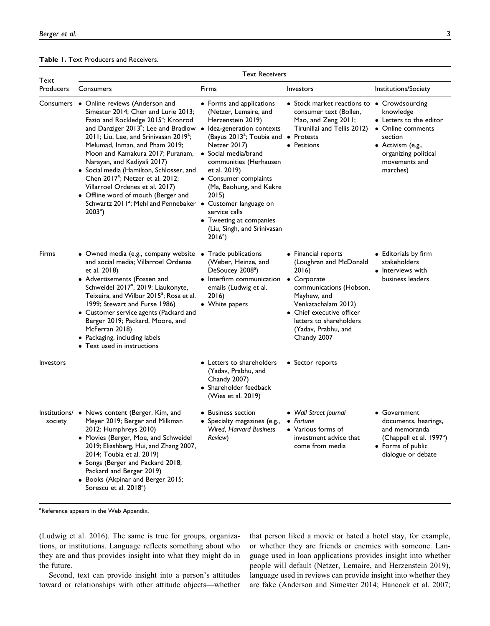#### Table 1. Text Producers and Receivers.

| Text      | <b>Text Receivers</b>                                                                                                                                                                                                                                                                                                                                                                                                                                                                                                                                                                                                             |                                                                                                                                                                                                                                                                                                                                                                |                                                                                                                                                                                                                                     |                                                                                                                                                                   |
|-----------|-----------------------------------------------------------------------------------------------------------------------------------------------------------------------------------------------------------------------------------------------------------------------------------------------------------------------------------------------------------------------------------------------------------------------------------------------------------------------------------------------------------------------------------------------------------------------------------------------------------------------------------|----------------------------------------------------------------------------------------------------------------------------------------------------------------------------------------------------------------------------------------------------------------------------------------------------------------------------------------------------------------|-------------------------------------------------------------------------------------------------------------------------------------------------------------------------------------------------------------------------------------|-------------------------------------------------------------------------------------------------------------------------------------------------------------------|
| Producers | Consumers                                                                                                                                                                                                                                                                                                                                                                                                                                                                                                                                                                                                                         | Firms                                                                                                                                                                                                                                                                                                                                                          | Investors                                                                                                                                                                                                                           | Institutions/Society                                                                                                                                              |
| Consumers | • Online reviews (Anderson and<br>Simester 2014; Chen and Lurie 2013;<br>Fazio and Rockledge 2015 <sup>a</sup> ; Kronrod<br>and Danziger 2013 <sup>a</sup> ; Lee and Bradlow . Idea-generation contexts<br>2011; Liu, Lee, and Srinivasan 2019 <sup>a</sup> ;<br>Melumad, Inman, and Pham 2019;<br>Moon and Kamakura 2017; Puranam,<br>Narayan, and Kadiyali 2017)<br>• Social media (Hamilton, Schlosser, and<br>Chen 2017 <sup>a</sup> ; Netzer et al. 2012;<br>Villarroel Ordenes et al. 2017)<br>• Offline word of mouth (Berger and<br>Schwartz 2011 <sup>a</sup> ; Mehl and Pennebaker • Customer language on<br>$2003^a$ ) | • Forms and applications<br>(Netzer, Lemaire, and<br>Herzenstein 2019)<br>(Bayus 2013 <sup>a</sup> ; Toubia and<br><b>Netzer 2017)</b><br>• Social media/brand<br>communities (Herhausen<br>et al. 2019)<br>• Consumer complaints<br>(Ma, Baohung, and Kekre<br>2015)<br>service calls<br>• Tweeting at companies<br>(Liu, Singh, and Srinivasan<br>$2016^a$ ) | • Stock market reactions to<br>consumer text (Bollen,<br>Mao, and Zeng 2011;<br>Tirunillai and Tellis 2012)<br>• Protests<br>• Petitions                                                                                            | • Crowdsourcing<br>knowledge<br>• Letters to the editor<br>• Online comments<br>section<br>• Activism (e.g.,<br>organizing political<br>movements and<br>marches) |
| Firms     | • Owned media (e.g., company website • Trade publications<br>and social media; Villarroel Ordenes<br>et al. 2018)<br>• Advertisements (Fossen and<br>Schweidel 2017 <sup>a</sup> , 2019; Liaukonyte,<br>Teixeira, and Wilbur 2015 <sup>a</sup> ; Rosa et al.<br>1999; Stewart and Furse 1986)<br>• Customer service agents (Packard and<br>Berger 2019; Packard, Moore, and<br>McFerran 2018)<br>• Packaging, including labels<br>Text used in instructions                                                                                                                                                                       | (Weber, Heinze, and<br>DeSoucey 2008 <sup>a</sup> )<br>• Interfirm communication<br>emails (Ludwig et al.<br>2016<br>• White papers                                                                                                                                                                                                                            | • Financial reports<br>(Loughran and McDonald<br>2016<br>• Corporate<br>communications (Hobson,<br>Mayhew, and<br>Venkatachalam 2012)<br>• Chief executive officer<br>letters to shareholders<br>(Yadav, Prabhu, and<br>Chandy 2007 | • Editorials by firm<br>stakeholders<br>• Interviews with<br>business leaders                                                                                     |
| Investors |                                                                                                                                                                                                                                                                                                                                                                                                                                                                                                                                                                                                                                   | • Letters to shareholders<br>(Yadav, Prabhu, and<br><b>Chandy 2007)</b><br>• Shareholder feedback<br>(Wies et al. 2019)                                                                                                                                                                                                                                        | • Sector reports                                                                                                                                                                                                                    |                                                                                                                                                                   |
| society   | Institutions/ • News content (Berger, Kim, and<br>Meyer 2019; Berger and Milkman<br>2012; Humphreys 2010)<br>• Movies (Berger, Moe, and Schweidel<br>2019; Eliashberg, Hui, and Zhang 2007,<br>2014; Toubia et al. 2019)<br>• Songs (Berger and Packard 2018;<br>Packard and Berger 2019)<br>• Books (Akpinar and Berger 2015;<br>Sorescu et al. 2018 <sup>a</sup> )                                                                                                                                                                                                                                                              | <b>Business section</b><br>• Specialty magazines (e.g.,<br>Wired, Harvard Business<br><b>Review)</b>                                                                                                                                                                                                                                                           | • Wall Street Journal<br>• Fortune<br>• Various forms of<br>investment advice that<br>come from media                                                                                                                               | • Government<br>documents, hearings,<br>and memoranda<br>(Chappell et al. 1997 <sup>a</sup> )<br>• Forms of public<br>dialogue or debate                          |

<sup>a</sup>Reference appears in the Web Appendix.

(Ludwig et al. 2016). The same is true for groups, organizations, or institutions. Language reflects something about who they are and thus provides insight into what they might do in the future.

Second, text can provide insight into a person's attitudes toward or relationships with other attitude objects—whether

that person liked a movie or hated a hotel stay, for example, or whether they are friends or enemies with someone. Language used in loan applications provides insight into whether people will default (Netzer, Lemaire, and Herzenstein 2019), language used in reviews can provide insight into whether they are fake (Anderson and Simester 2014; Hancock et al. 2007;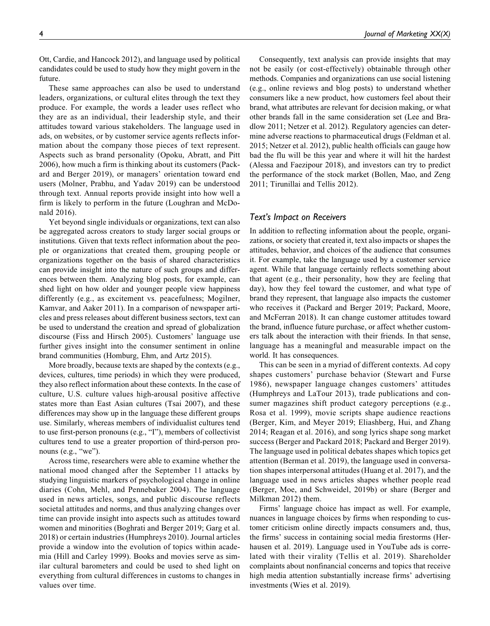Ott, Cardie, and Hancock 2012), and language used by political candidates could be used to study how they might govern in the future.

These same approaches can also be used to understand leaders, organizations, or cultural elites through the text they produce. For example, the words a leader uses reflect who they are as an individual, their leadership style, and their attitudes toward various stakeholders. The language used in ads, on websites, or by customer service agents reflects information about the company those pieces of text represent. Aspects such as brand personality (Opoku, Abratt, and Pitt 2006), how much a firm is thinking about its customers (Packard and Berger 2019), or managers' orientation toward end users (Molner, Prabhu, and Yadav 2019) can be understood through text. Annual reports provide insight into how well a firm is likely to perform in the future (Loughran and McDonald 2016).

Yet beyond single individuals or organizations, text can also be aggregated across creators to study larger social groups or institutions. Given that texts reflect information about the people or organizations that created them, grouping people or organizations together on the basis of shared characteristics can provide insight into the nature of such groups and differences between them. Analyzing blog posts, for example, can shed light on how older and younger people view happiness differently (e.g., as excitement vs. peacefulness; Mogilner, Kamvar, and Aaker 2011). In a comparison of newspaper articles and press releases about different business sectors, text can be used to understand the creation and spread of globalization discourse (Fiss and Hirsch 2005). Customers' language use further gives insight into the consumer sentiment in online brand communities (Homburg, Ehm, and Artz 2015).

More broadly, because texts are shaped by the contexts (e.g., devices, cultures, time periods) in which they were produced, they also reflect information about these contexts. In the case of culture, U.S. culture values high-arousal positive affective states more than East Asian cultures (Tsai 2007), and these differences may show up in the language these different groups use. Similarly, whereas members of individualist cultures tend to use first-person pronouns (e.g., "I"), members of collectivist cultures tend to use a greater proportion of third-person pronouns (e.g., "we").

Across time, researchers were able to examine whether the national mood changed after the September 11 attacks by studying linguistic markers of psychological change in online diaries (Cohn, Mehl, and Pennebaker 2004). The language used in news articles, songs, and public discourse reflects societal attitudes and norms, and thus analyzing changes over time can provide insight into aspects such as attitudes toward women and minorities (Boghrati and Berger 2019; Garg et al. 2018) or certain industries (Humphreys 2010). Journal articles provide a window into the evolution of topics within academia (Hill and Carley 1999). Books and movies serve as similar cultural barometers and could be used to shed light on everything from cultural differences in customs to changes in values over time.

Consequently, text analysis can provide insights that may not be easily (or cost-effectively) obtainable through other methods. Companies and organizations can use social listening (e.g., online reviews and blog posts) to understand whether consumers like a new product, how customers feel about their brand, what attributes are relevant for decision making, or what other brands fall in the same consideration set (Lee and Bradlow 2011; Netzer et al. 2012). Regulatory agencies can determine adverse reactions to pharmaceutical drugs (Feldman et al. 2015; Netzer et al. 2012), public health officials can gauge how bad the flu will be this year and where it will hit the hardest (Alessa and Faezipour 2018), and investors can try to predict the performance of the stock market (Bollen, Mao, and Zeng 2011; Tirunillai and Tellis 2012).

## Text's Impact on Receivers

In addition to reflecting information about the people, organizations, or society that created it, text also impacts or shapes the attitudes, behavior, and choices of the audience that consumes it. For example, take the language used by a customer service agent. While that language certainly reflects something about that agent (e.g., their personality, how they are feeling that day), how they feel toward the customer, and what type of brand they represent, that language also impacts the customer who receives it (Packard and Berger 2019; Packard, Moore, and McFerran 2018). It can change customer attitudes toward the brand, influence future purchase, or affect whether customers talk about the interaction with their friends. In that sense, language has a meaningful and measurable impact on the world. It has consequences.

This can be seen in a myriad of different contexts. Ad copy shapes customers' purchase behavior (Stewart and Furse 1986), newspaper language changes customers' attitudes (Humphreys and LaTour 2013), trade publications and consumer magazines shift product category perceptions (e.g., Rosa et al. 1999), movie scripts shape audience reactions (Berger, Kim, and Meyer 2019; Eliashberg, Hui, and Zhang 2014; Reagan et al. 2016), and song lyrics shape song market success (Berger and Packard 2018; Packard and Berger 2019). The language used in political debates shapes which topics get attention (Berman et al. 2019), the language used in conversation shapes interpersonal attitudes (Huang et al. 2017), and the language used in news articles shapes whether people read (Berger, Moe, and Schweidel, 2019b) or share (Berger and Milkman 2012) them.

Firms' language choice has impact as well. For example, nuances in language choices by firms when responding to customer criticism online directly impacts consumers and, thus, the firms' success in containing social media firestorms (Herhausen et al. 2019). Language used in YouTube ads is correlated with their virality (Tellis et al. 2019). Shareholder complaints about nonfinancial concerns and topics that receive high media attention substantially increase firms' advertising investments (Wies et al. 2019).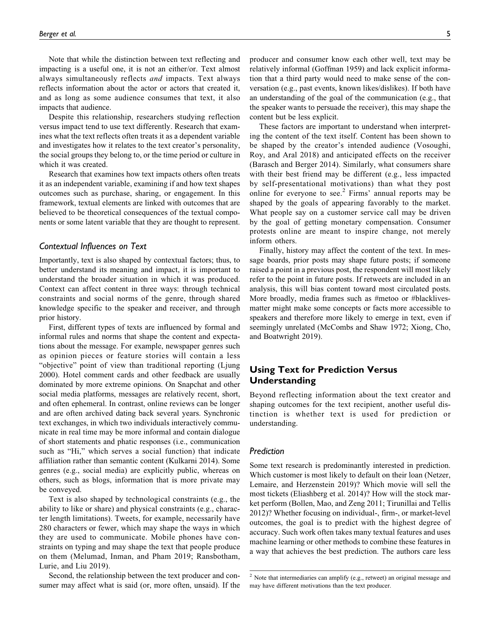Note that while the distinction between text reflecting and impacting is a useful one, it is not an either/or. Text almost always simultaneously reflects *and* impacts. Text always reflects information about the actor or actors that created it, and as long as some audience consumes that text, it also impacts that audience.

Despite this relationship, researchers studying reflection versus impact tend to use text differently. Research that examines what the text reflects often treats it as a dependent variable and investigates how it relates to the text creator's personality, the social groups they belong to, or the time period or culture in which it was created.

Research that examines how text impacts others often treats it as an independent variable, examining if and how text shapes outcomes such as purchase, sharing, or engagement. In this framework, textual elements are linked with outcomes that are believed to be theoretical consequences of the textual components or some latent variable that they are thought to represent.

## Contextual Influences on Text

Importantly, text is also shaped by contextual factors; thus, to better understand its meaning and impact, it is important to understand the broader situation in which it was produced. Context can affect content in three ways: through technical constraints and social norms of the genre, through shared knowledge specific to the speaker and receiver, and through prior history.

First, different types of texts are influenced by formal and informal rules and norms that shape the content and expectations about the message. For example, newspaper genres such as opinion pieces or feature stories will contain a less "objective" point of view than traditional reporting (Ljung 2000). Hotel comment cards and other feedback are usually dominated by more extreme opinions. On Snapchat and other social media platforms, messages are relatively recent, short, and often ephemeral. In contrast, online reviews can be longer and are often archived dating back several years. Synchronic text exchanges, in which two individuals interactively communicate in real time may be more informal and contain dialogue of short statements and phatic responses (i.e., communication such as "Hi," which serves a social function) that indicate affiliation rather than semantic content (Kulkarni 2014). Some genres (e.g., social media) are explicitly public, whereas on others, such as blogs, information that is more private may be conveyed.

Text is also shaped by technological constraints (e.g., the ability to like or share) and physical constraints (e.g., character length limitations). Tweets, for example, necessarily have 280 characters or fewer, which may shape the ways in which they are used to communicate. Mobile phones have constraints on typing and may shape the text that people produce on them (Melumad, Inman, and Pham 2019; Ransbotham, Lurie, and Liu 2019).

Second, the relationship between the text producer and consumer may affect what is said (or, more often, unsaid). If the producer and consumer know each other well, text may be relatively informal (Goffman 1959) and lack explicit information that a third party would need to make sense of the conversation (e.g., past events, known likes/dislikes). If both have an understanding of the goal of the communication (e.g., that the speaker wants to persuade the receiver), this may shape the content but be less explicit.

These factors are important to understand when interpreting the content of the text itself. Content has been shown to be shaped by the creator's intended audience (Vosoughi, Roy, and Aral 2018) and anticipated effects on the receiver (Barasch and Berger 2014). Similarly, what consumers share with their best friend may be different (e.g., less impacted by self-presentational motivations) than what they post online for everyone to see.<sup>2</sup> Firms' annual reports may be shaped by the goals of appearing favorably to the market. What people say on a customer service call may be driven by the goal of getting monetary compensation. Consumer protests online are meant to inspire change, not merely inform others.

Finally, history may affect the content of the text. In message boards, prior posts may shape future posts; if someone raised a point in a previous post, the respondent will most likely refer to the point in future posts. If retweets are included in an analysis, this will bias content toward most circulated posts. More broadly, media frames such as #metoo or #blacklivesmatter might make some concepts or facts more accessible to speakers and therefore more likely to emerge in text, even if seemingly unrelated (McCombs and Shaw 1972; Xiong, Cho, and Boatwright 2019).

# Using Text for Prediction Versus Understanding

Beyond reflecting information about the text creator and shaping outcomes for the text recipient, another useful distinction is whether text is used for prediction or understanding.

#### Prediction

Some text research is predominantly interested in prediction. Which customer is most likely to default on their loan (Netzer, Lemaire, and Herzenstein 2019)? Which movie will sell the most tickets (Eliashberg et al. 2014)? How will the stock market perform (Bollen, Mao, and Zeng 2011; Tirunillai and Tellis 2012)? Whether focusing on individual-, firm-, or market-level outcomes, the goal is to predict with the highest degree of accuracy. Such work often takes many textual features and uses machine learning or other methods to combine these features in a way that achieves the best prediction. The authors care less

<sup>&</sup>lt;sup>2</sup> Note that intermediaries can amplify (e.g., retweet) an original message and may have different motivations than the text producer.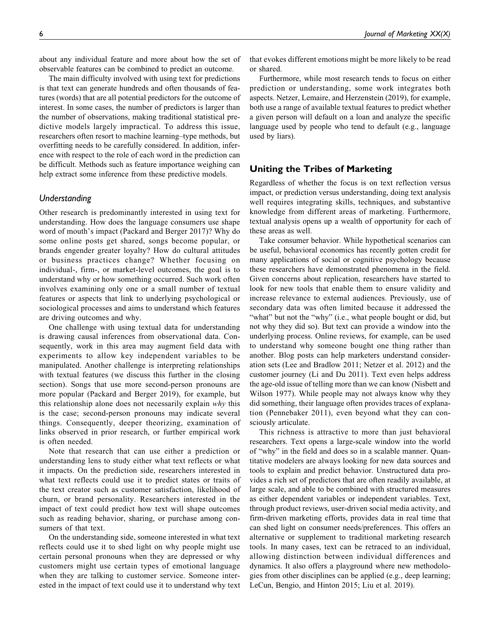about any individual feature and more about how the set of observable features can be combined to predict an outcome.

The main difficulty involved with using text for predictions is that text can generate hundreds and often thousands of features (words) that are all potential predictors for the outcome of interest. In some cases, the number of predictors is larger than the number of observations, making traditional statistical predictive models largely impractical. To address this issue, researchers often resort to machine learning–type methods, but overfitting needs to be carefully considered. In addition, inference with respect to the role of each word in the prediction can be difficult. Methods such as feature importance weighing can help extract some inference from these predictive models.

## Understanding

Other research is predominantly interested in using text for understanding. How does the language consumers use shape word of mouth's impact (Packard and Berger 2017)? Why do some online posts get shared, songs become popular, or brands engender greater loyalty? How do cultural attitudes or business practices change? Whether focusing on individual-, firm-, or market-level outcomes, the goal is to understand why or how something occurred. Such work often involves examining only one or a small number of textual features or aspects that link to underlying psychological or sociological processes and aims to understand which features are driving outcomes and why.

One challenge with using textual data for understanding is drawing causal inferences from observational data. Consequently, work in this area may augment field data with experiments to allow key independent variables to be manipulated. Another challenge is interpreting relationships with textual features (we discuss this further in the closing section). Songs that use more second-person pronouns are more popular (Packard and Berger 2019), for example, but this relationship alone does not necessarily explain why this is the case; second-person pronouns may indicate several things. Consequently, deeper theorizing, examination of links observed in prior research, or further empirical work is often needed.

Note that research that can use either a prediction or understanding lens to study either what text reflects or what it impacts. On the prediction side, researchers interested in what text reflects could use it to predict states or traits of the text creator such as customer satisfaction, likelihood of churn, or brand personality. Researchers interested in the impact of text could predict how text will shape outcomes such as reading behavior, sharing, or purchase among consumers of that text.

On the understanding side, someone interested in what text reflects could use it to shed light on why people might use certain personal pronouns when they are depressed or why customers might use certain types of emotional language when they are talking to customer service. Someone interested in the impact of text could use it to understand why text that evokes different emotions might be more likely to be read or shared.

Furthermore, while most research tends to focus on either prediction or understanding, some work integrates both aspects. Netzer, Lemaire, and Herzenstein (2019), for example, both use a range of available textual features to predict whether a given person will default on a loan and analyze the specific language used by people who tend to default (e.g., language used by liars).

## Uniting the Tribes of Marketing

Regardless of whether the focus is on text reflection versus impact, or prediction versus understanding, doing text analysis well requires integrating skills, techniques, and substantive knowledge from different areas of marketing. Furthermore, textual analysis opens up a wealth of opportunity for each of these areas as well.

Take consumer behavior. While hypothetical scenarios can be useful, behavioral economics has recently gotten credit for many applications of social or cognitive psychology because these researchers have demonstrated phenomena in the field. Given concerns about replication, researchers have started to look for new tools that enable them to ensure validity and increase relevance to external audiences. Previously, use of secondary data was often limited because it addressed the "what" but not the "why" (i.e., what people bought or did, but not why they did so). But text can provide a window into the underlying process. Online reviews, for example, can be used to understand why someone bought one thing rather than another. Blog posts can help marketers understand consideration sets (Lee and Bradlow 2011; Netzer et al. 2012) and the customer journey (Li and Du 2011). Text even helps address the age-old issue of telling more than we can know (Nisbett and Wilson 1977). While people may not always know why they did something, their language often provides traces of explanation (Pennebaker 2011), even beyond what they can consciously articulate.

This richness is attractive to more than just behavioral researchers. Text opens a large-scale window into the world of "why" in the field and does so in a scalable manner. Quantitative modelers are always looking for new data sources and tools to explain and predict behavior. Unstructured data provides a rich set of predictors that are often readily available, at large scale, and able to be combined with structured measures as either dependent variables or independent variables. Text, through product reviews, user-driven social media activity, and firm-driven marketing efforts, provides data in real time that can shed light on consumer needs/preferences. This offers an alternative or supplement to traditional marketing research tools. In many cases, text can be retraced to an individual, allowing distinction between individual differences and dynamics. It also offers a playground where new methodologies from other disciplines can be applied (e.g., deep learning; LeCun, Bengio, and Hinton 2015; Liu et al. 2019).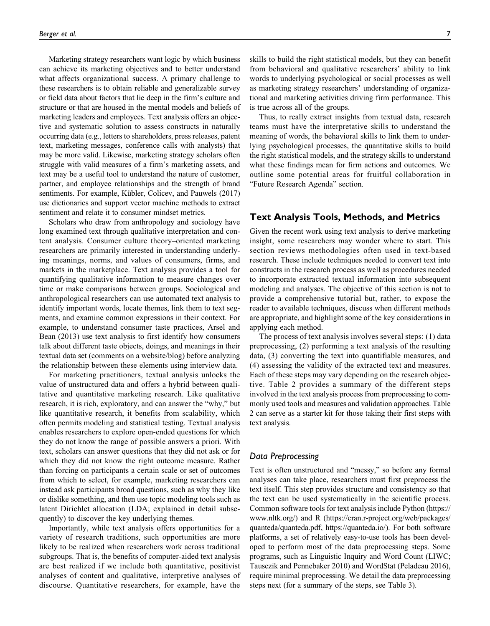Marketing strategy researchers want logic by which business can achieve its marketing objectives and to better understand what affects organizational success. A primary challenge to these researchers is to obtain reliable and generalizable survey or field data about factors that lie deep in the firm's culture and structure or that are housed in the mental models and beliefs of marketing leaders and employees. Text analysis offers an objective and systematic solution to assess constructs in naturally occurring data (e.g., letters to shareholders, press releases, patent text, marketing messages, conference calls with analysts) that may be more valid. Likewise, marketing strategy scholars often struggle with valid measures of a firm's marketing assets, and text may be a useful tool to understand the nature of customer, partner, and employee relationships and the strength of brand sentiments. For example, Kübler, Colicev, and Pauwels (2017) use dictionaries and support vector machine methods to extract sentiment and relate it to consumer mindset metrics.

Scholars who draw from anthropology and sociology have long examined text through qualitative interpretation and content analysis. Consumer culture theory–oriented marketing researchers are primarily interested in understanding underlying meanings, norms, and values of consumers, firms, and markets in the marketplace. Text analysis provides a tool for quantifying qualitative information to measure changes over time or make comparisons between groups. Sociological and anthropological researchers can use automated text analysis to identify important words, locate themes, link them to text segments, and examine common expressions in their context. For example, to understand consumer taste practices, Arsel and Bean (2013) use text analysis to first identify how consumers talk about different taste objects, doings, and meanings in their textual data set (comments on a website/blog) before analyzing the relationship between these elements using interview data.

For marketing practitioners, textual analysis unlocks the value of unstructured data and offers a hybrid between qualitative and quantitative marketing research. Like qualitative research, it is rich, exploratory, and can answer the "why," but like quantitative research, it benefits from scalability, which often permits modeling and statistical testing. Textual analysis enables researchers to explore open-ended questions for which they do not know the range of possible answers a priori. With text, scholars can answer questions that they did not ask or for which they did not know the right outcome measure. Rather than forcing on participants a certain scale or set of outcomes from which to select, for example, marketing researchers can instead ask participants broad questions, such as why they like or dislike something, and then use topic modeling tools such as latent Dirichlet allocation (LDA; explained in detail subsequently) to discover the key underlying themes.

Importantly, while text analysis offers opportunities for a variety of research traditions, such opportunities are more likely to be realized when researchers work across traditional subgroups. That is, the benefits of computer-aided text analysis are best realized if we include both quantitative, positivist analyses of content and qualitative, interpretive analyses of discourse. Quantitative researchers, for example, have the skills to build the right statistical models, but they can benefit from behavioral and qualitative researchers' ability to link words to underlying psychological or social processes as well as marketing strategy researchers' understanding of organizational and marketing activities driving firm performance. This is true across all of the groups.

Thus, to really extract insights from textual data, research teams must have the interpretative skills to understand the meaning of words, the behavioral skills to link them to underlying psychological processes, the quantitative skills to build the right statistical models, and the strategy skills to understand what these findings mean for firm actions and outcomes. We outline some potential areas for fruitful collaboration in "Future Research Agenda" section.

## Text Analysis Tools, Methods, and Metrics

Given the recent work using text analysis to derive marketing insight, some researchers may wonder where to start. This section reviews methodologies often used in text-based research. These include techniques needed to convert text into constructs in the research process as well as procedures needed to incorporate extracted textual information into subsequent modeling and analyses. The objective of this section is not to provide a comprehensive tutorial but, rather, to expose the reader to available techniques, discuss when different methods are appropriate, and highlight some of the key considerations in applying each method.

The process of text analysis involves several steps: (1) data preprocessing, (2) performing a text analysis of the resulting data, (3) converting the text into quantifiable measures, and (4) assessing the validity of the extracted text and measures. Each of these steps may vary depending on the research objective. Table 2 provides a summary of the different steps involved in the text analysis process from preprocessing to commonly used tools and measures and validation approaches. Table 2 can serve as a starter kit for those taking their first steps with text analysis.

#### Data Preprocessing

Text is often unstructured and "messy," so before any formal analyses can take place, researchers must first preprocess the text itself. This step provides structure and consistency so that the text can be used systematically in the scientific process. Common software tools for text analysis include Python [\(https://](https://www.nltk.org/) [www.nltk.org/\)](https://www.nltk.org/) and R ([https://cran.r-project.org/web/packages/](https://cran.r-project.org/web/packages/quanteda/quanteda.pdf) [quanteda/quanteda.pdf,](https://cran.r-project.org/web/packages/quanteda/quanteda.pdf) [https://quanteda.io/\)](https://quanteda.io/). For both software platforms, a set of relatively easy-to-use tools has been developed to perform most of the data preprocessing steps. Some programs, such as Linguistic Inquiry and Word Count (LIWC; Tausczik and Pennebaker 2010) and WordStat (Peladeau 2016), require minimal preprocessing. We detail the data preprocessing steps next (for a summary of the steps, see Table 3).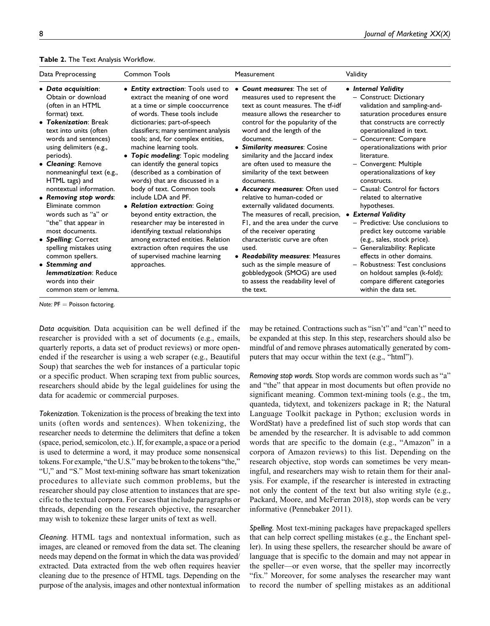| Data Preprocessing                                                                                                                                                                                                                                                                                                                                                                                                                                                                                                                                                                       | <b>Common Tools</b>                                                                                                                                                                                                                                                                                                                                                                                                                                                                                                                                                                                                                                                                                                                                     | Measurement                                                                                                                                                                                                                                                                                                                                                                                                                                                                                                                                                                                                                                                                                                                                                                                                         | Validity                                                                                                                                                                                                                                                                                                                                                                                                                                                                                                                                                                                                                                                                                                                 |
|------------------------------------------------------------------------------------------------------------------------------------------------------------------------------------------------------------------------------------------------------------------------------------------------------------------------------------------------------------------------------------------------------------------------------------------------------------------------------------------------------------------------------------------------------------------------------------------|---------------------------------------------------------------------------------------------------------------------------------------------------------------------------------------------------------------------------------------------------------------------------------------------------------------------------------------------------------------------------------------------------------------------------------------------------------------------------------------------------------------------------------------------------------------------------------------------------------------------------------------------------------------------------------------------------------------------------------------------------------|---------------------------------------------------------------------------------------------------------------------------------------------------------------------------------------------------------------------------------------------------------------------------------------------------------------------------------------------------------------------------------------------------------------------------------------------------------------------------------------------------------------------------------------------------------------------------------------------------------------------------------------------------------------------------------------------------------------------------------------------------------------------------------------------------------------------|--------------------------------------------------------------------------------------------------------------------------------------------------------------------------------------------------------------------------------------------------------------------------------------------------------------------------------------------------------------------------------------------------------------------------------------------------------------------------------------------------------------------------------------------------------------------------------------------------------------------------------------------------------------------------------------------------------------------------|
| • Data acquisition:<br>Obtain or download<br>(often in an HTML<br>format) text.<br>• Tokenization: Break<br>text into units (often<br>words and sentences)<br>using delimiters (e.g.,<br>periods).<br>• Cleaning: Remove<br>nonmeaningful text (e.g.,<br>HTML tags) and<br>nontextual information.<br>• Removing stop words:<br>Eliminate common<br>words such as "a" or<br>"the" that appear in<br>most documents.<br>• Spelling: Correct<br>spelling mistakes using<br>common spellers.<br>• Stemming and<br><b>lemmatization: Reduce</b><br>words into their<br>common stem or lemma. | • Entity extraction: Tools used to<br>extract the meaning of one word<br>at a time or simple cooccurrence<br>of words. These tools include<br>dictionaries; part-of-speech<br>classifiers; many sentiment analysis<br>tools; and, for complex entities,<br>machine learning tools.<br>• Topic modeling: Topic modeling<br>can identify the general topics<br>(described as a combination of<br>words) that are discussed in a<br>body of text. Common tools<br>include LDA and PF.<br>• Relation extraction: Going<br>beyond entity extraction, the<br>researcher may be interested in<br>identifying textual relationships<br>among extracted entities. Relation<br>extraction often requires the use<br>of supervised machine learning<br>approaches. | <b>Count measures:</b> The set of<br>$\bullet$<br>measures used to represent the<br>text as count measures. The tf-idf<br>measure allows the researcher to<br>control for the popularity of the<br>word and the length of the<br>document.<br><b>Similarity measures: Cosine</b><br>similarity and the Jaccard index<br>are often used to measure the<br>similarity of the text between<br>documents.<br>• Accuracy measures: Often used<br>relative to human-coded or<br>externally validated documents.<br>The measures of recall, precision,<br>F1, and the area under the curve<br>of the receiver operating<br>characteristic curve are often<br>used.<br>• Readability measures: Measures<br>such as the simple measure of<br>gobbledygook (SMOG) are used<br>to assess the readability level of<br>the text. | • Internal Validity<br>- Construct: Dictionary<br>validation and sampling-and-<br>saturation procedures ensure<br>that constructs are correctly<br>operationalized in text.<br>- Concurrent: Compare<br>operationalizations with prior<br>literature.<br>- Convergent: Multiple<br>operationalizations of key<br>constructs.<br>- Causal: Control for factors<br>related to alternative<br>hypotheses.<br>• External Validity<br>- Predictive: Use conclusions to<br>predict key outcome variable<br>(e.g., sales, stock price).<br>- Generalizability: Replicate<br>effects in other domains.<br>- Robustness: Test conclusions<br>on holdout samples (k-fold);<br>compare different categories<br>within the data set. |

Table 2. The Text Analysis Workflow.

Note:  $PF = Poisson$  factoring.

Data acquisition. Data acquisition can be well defined if the researcher is provided with a set of documents (e.g., emails, quarterly reports, a data set of product reviews) or more openended if the researcher is using a web scraper (e.g., Beautiful Soup) that searches the web for instances of a particular topic or a specific product. When scraping text from public sources, researchers should abide by the legal guidelines for using the data for academic or commercial purposes.

Tokenization. Tokenization is the process of breaking the text into units (often words and sentences). When tokenizing, the researcher needs to determine the delimiters that define a token (space, period, semicolon, etc.). If, for example, a space or a period is used to determine a word, it may produce some nonsensical tokens. For example, "the U.S." may be broken to the tokens "the," "U," and "S." Most text-mining software has smart tokenization procedures to alleviate such common problems, but the researcher should pay close attention to instances that are specific to the textual corpora. For cases that include paragraphs or threads, depending on the research objective, the researcher may wish to tokenize these larger units of text as well.

Cleaning. HTML tags and nontextual information, such as images, are cleaned or removed from the data set. The cleaning needs may depend on the format in which the data was provided/ extracted. Data extracted from the web often requires heavier cleaning due to the presence of HTML tags. Depending on the purpose of the analysis, images and other nontextual information

may be retained. Contractions such as "isn't" and "can't" need to be expanded at this step. In this step, researchers should also be mindful of and remove phrases automatically generated by computers that may occur within the text (e.g., "html").

Removing stop words. Stop words are common words such as "a" and "the" that appear in most documents but often provide no significant meaning. Common text-mining tools (e.g., the tm, quanteda, tidytext, and tokenizers package in R; the Natural Language Toolkit package in Python; exclusion words in WordStat) have a predefined list of such stop words that can be amended by the researcher. It is advisable to add common words that are specific to the domain (e.g., "Amazon" in a corpora of Amazon reviews) to this list. Depending on the research objective, stop words can sometimes be very meaningful, and researchers may wish to retain them for their analysis. For example, if the researcher is interested in extracting not only the content of the text but also writing style (e.g., Packard, Moore, and McFerran 2018), stop words can be very informative (Pennebaker 2011).

Spelling. Most text-mining packages have prepackaged spellers that can help correct spelling mistakes (e.g., the Enchant speller). In using these spellers, the researcher should be aware of language that is specific to the domain and may not appear in the speller—or even worse, that the speller may incorrectly "fix." Moreover, for some analyses the researcher may want to record the number of spelling mistakes as an additional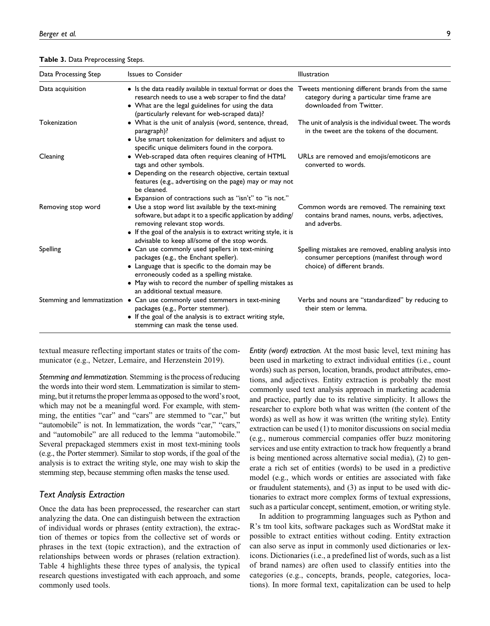#### Table 3. Data Preprocessing Steps.

| Data Processing Step | <b>Issues to Consider</b>                                                                                                                                                                                                                                                             | Illustration                                                                                                                         |
|----------------------|---------------------------------------------------------------------------------------------------------------------------------------------------------------------------------------------------------------------------------------------------------------------------------------|--------------------------------------------------------------------------------------------------------------------------------------|
| Data acquisition     | • Is the data readily available in textual format or does the Tweets mentioning different brands from the same<br>research needs to use a web scraper to find the data?<br>• What are the legal guidelines for using the data<br>(particularly relevant for web-scraped data)?        | category during a particular time frame are<br>downloaded from Twitter.                                                              |
| Tokenization         | • What is the unit of analysis (word, sentence, thread,<br>paragraph)?<br>• Use smart tokenization for delimiters and adjust to<br>specific unique delimiters found in the corpora.                                                                                                   | The unit of analysis is the individual tweet. The words<br>in the tweet are the tokens of the document.                              |
| Cleaning             | • Web-scraped data often requires cleaning of HTML<br>tags and other symbols.<br>• Depending on the research objective, certain textual<br>features (e.g., advertising on the page) may or may not<br>be cleaned.<br>• Expansion of contractions such as "isn't" to "is not."         | URLs are removed and emojis/emoticons are<br>converted to words.                                                                     |
| Removing stop word   | • Use a stop word list available by the text-mining<br>software, but adapt it to a specific application by adding/<br>removing relevant stop words.<br>• If the goal of the analysis is to extract writing style, it is<br>advisable to keep all/some of the stop words.              | Common words are removed. The remaining text<br>contains brand names, nouns, verbs, adjectives,<br>and adverbs.                      |
| Spelling             | • Can use commonly used spellers in text-mining<br>packages (e.g., the Enchant speller).<br>• Language that is specific to the domain may be<br>erroneously coded as a spelling mistake.<br>• May wish to record the number of spelling mistakes as<br>an additional textual measure. | Spelling mistakes are removed, enabling analysis into<br>consumer perceptions (manifest through word<br>choice) of different brands. |
|                      | Stemming and lemmatization • Can use commonly used stemmers in text-mining<br>packages (e.g., Porter stemmer).<br>• If the goal of the analysis is to extract writing style,<br>stemming can mask the tense used.                                                                     | Verbs and nouns are "standardized" by reducing to<br>their stem or lemma.                                                            |

textual measure reflecting important states or traits of the communicator (e.g., Netzer, Lemaire, and Herzenstein 2019).

Stemming and lemmatization. Stemming is the process of reducing the words into their word stem. Lemmatization is similar to stemming, but it returns the proper lemma as opposed to the word's root, which may not be a meaningful word. For example, with stemming, the entities "car" and "cars" are stemmed to "car," but "automobile" is not. In lemmatization, the words "car," "cars," and "automobile" are all reduced to the lemma "automobile." Several prepackaged stemmers exist in most text-mining tools (e.g., the Porter stemmer). Similar to stop words, if the goal of the analysis is to extract the writing style, one may wish to skip the stemming step, because stemming often masks the tense used.

## Text Analysis Extraction

Once the data has been preprocessed, the researcher can start analyzing the data. One can distinguish between the extraction of individual words or phrases (entity extraction), the extraction of themes or topics from the collective set of words or phrases in the text (topic extraction), and the extraction of relationships between words or phrases (relation extraction). Table 4 highlights these three types of analysis, the typical research questions investigated with each approach, and some commonly used tools.

Entity (word) extraction. At the most basic level, text mining has been used in marketing to extract individual entities (i.e., count words) such as person, location, brands, product attributes, emotions, and adjectives. Entity extraction is probably the most commonly used text analysis approach in marketing academia and practice, partly due to its relative simplicity. It allows the researcher to explore both what was written (the content of the words) as well as how it was written (the writing style). Entity extraction can be used (1) to monitor discussions on social media (e.g., numerous commercial companies offer buzz monitoring services and use entity extraction to track how frequently a brand is being mentioned across alternative social media), (2) to generate a rich set of entities (words) to be used in a predictive model (e.g., which words or entities are associated with fake or fraudulent statements), and (3) as input to be used with dictionaries to extract more complex forms of textual expressions, such as a particular concept, sentiment, emotion, or writing style.

In addition to programming languages such as Python and R's tm tool kits, software packages such as WordStat make it possible to extract entities without coding. Entity extraction can also serve as input in commonly used dictionaries or lexicons. Dictionaries (i.e., a predefined list of words, such as a list of brand names) are often used to classify entities into the categories (e.g., concepts, brands, people, categories, locations). In more formal text, capitalization can be used to help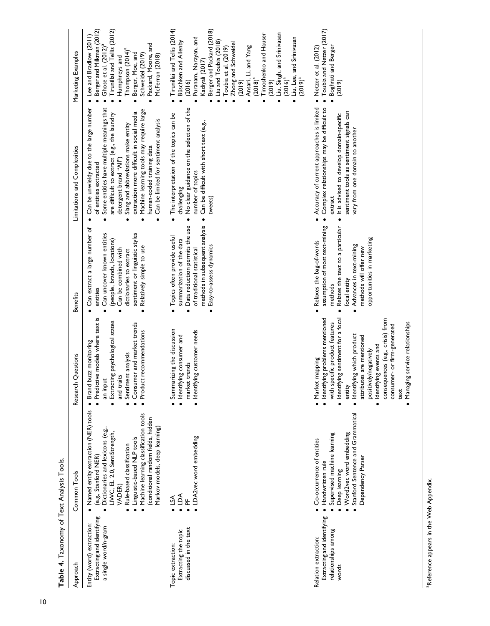| <b>Annenna</b><br>ر<br>چ<br>eterence appears in the \<br>ಷ |
|------------------------------------------------------------|

consumer- or firm-generated

text -

Managing service relationships

| Table 4. Taxonomy of Text Analysis Tools.                                          |                                                                                                                                                                                                                                                                                                                       |                                                                                                                                                                                                                                                                                         |                                                                                                                                                                                                                         |                                                                                                                                                                                                                                                                                                                                                                                                           |                                                                                                                                                                                                                                                                                                                                                                                                                  |
|------------------------------------------------------------------------------------|-----------------------------------------------------------------------------------------------------------------------------------------------------------------------------------------------------------------------------------------------------------------------------------------------------------------------|-----------------------------------------------------------------------------------------------------------------------------------------------------------------------------------------------------------------------------------------------------------------------------------------|-------------------------------------------------------------------------------------------------------------------------------------------------------------------------------------------------------------------------|-----------------------------------------------------------------------------------------------------------------------------------------------------------------------------------------------------------------------------------------------------------------------------------------------------------------------------------------------------------------------------------------------------------|------------------------------------------------------------------------------------------------------------------------------------------------------------------------------------------------------------------------------------------------------------------------------------------------------------------------------------------------------------------------------------------------------------------|
| Approach                                                                           | Common Tools                                                                                                                                                                                                                                                                                                          | Research Questions                                                                                                                                                                                                                                                                      | <b>Benefits</b>                                                                                                                                                                                                         | Limitations and Complexities                                                                                                                                                                                                                                                                                                                                                                              | Marketing Examples                                                                                                                                                                                                                                                                                                                                                                                               |
| Extracting and identifying<br>Entity (word) extraction:<br>a single word/n-gram    | Named entity extraction (NER) tools<br>· Machine learning classification tools<br>conditional random fields, hidden<br>Dictionaries and lexicons (e.g.,<br>Markov models, deep learning)<br>LIWC, EL 2.0, SentiStrength,<br>Linguistic-based NLP tools<br>Rule-based classification<br>(e.g., Stanford NER)<br>VADER) | Predictive models where text is<br>Extracting psychological states<br>Consumer and market trends<br>Product recommendations<br>Brand buzz monitoring<br>Sentiment analysis<br>an input<br>and traits                                                                                    | Can extract a large number of<br>sentiment or linguistic styles<br>Can uncover known entities<br>(people, brands, locations)<br>Relatively simple to use<br>Can be combined with<br>dictionaries to extract<br>entities | Some entities have multiple meanings that<br>Can be unwieldy due to the large number<br>Machine learning tools may require large<br>extraction more difficult in social media<br>are difficult to extract (e.g., the laundry<br>Can be limited for sentiment analysis<br>Slang and abbreviations make entity<br>human-coded training data<br>detergent brand "All")<br>of entities extracted<br>$\bullet$ | Berger and Milkman (2012)<br>Tirunillai and Tellis (2012)<br>Lee and Bradlow (2011)<br>Packard, Moore, and<br>Ghose et al. (2012) <sup>a</sup><br>Thompson (2014) <sup>a</sup><br>Berger, Moe, and<br>Schweidel (2019)<br>McFerran (2018)<br>Humphreys and                                                                                                                                                       |
| discussed in the text<br>Extracting the topic<br>Topic extraction:                 | • LDA2vec word embedding<br><b>Adl</b><br>JSA<br>č                                                                                                                                                                                                                                                                    | Summarizing the discussion<br>Identifying customer needs<br>· Identifying consumer and<br>market trends                                                                                                                                                                                 | Data reduction permits the use<br>methods in subsequent analysis<br>Topics often provide useful<br>summarization of the data<br>Easy-to-assess dynamics<br>of traditional statistical                                   | No clear guidance on the selection of the<br>The interpretation of the topics can be<br>Can be difficult with short text (e.g.<br>number of topics<br>challenging<br>tweets)                                                                                                                                                                                                                              | Tirunillai and Tellis (2014)<br>Berger and Packard (2018)<br>$\bullet$ Liu, Singh, and Srinivasan $(2016)^{\rm a}$<br>Timoshenko and Hauser<br>Puranam, Narayan, and<br>Liu, Lee, and Srinivasan<br>Liu and Toubia (2018)<br>Büschken and Allenby<br>Zhong and Schweidel<br>Ansari, Li, and Yang<br>(2018) <sup>a</sup><br>Toubia et al. (2019)<br>Kadiyali (2017)<br>$(2019)^{a}$<br>(2016)<br>(2019)<br>(2019) |
| Extracting and identifying<br>relationships among<br>Relation extraction:<br>words | Stanford Sentence and Grammatical<br>Word2vec word embedding<br>Supervised machine learning<br>Co-occurrence of entities<br>Dependency Parser<br>Handwritten rule<br>Deep learning                                                                                                                                    | Identifying problems mentioned<br>Identifying sentiment for a focal<br>consequences (e.g., crisis) from<br>with specific product features<br>· Identifying which product<br>attributes are mentioned<br>· Identifying events and<br>positively/negatively<br>· Market mapping<br>entity | assumption of most text-mining<br>Relates the text to a particular<br>opportunities in marketing<br>Relaxes the bag-of-words<br>Advances in text-mining<br>methods will offer new<br>focal entity<br>methods            | Accuracy of current approaches is limited<br>· Complex relationships may be difficult to<br>sentiment tools as sentiment signals can<br>It is advised to develop domain-specific<br>vary from one domain to another<br>extract<br>$\bullet$                                                                                                                                                               | Toubia and Netzer (2017)<br>Boghrati and Berger<br>• Netzer et al. (2012)<br>(2019)                                                                                                                                                                                                                                                                                                                              |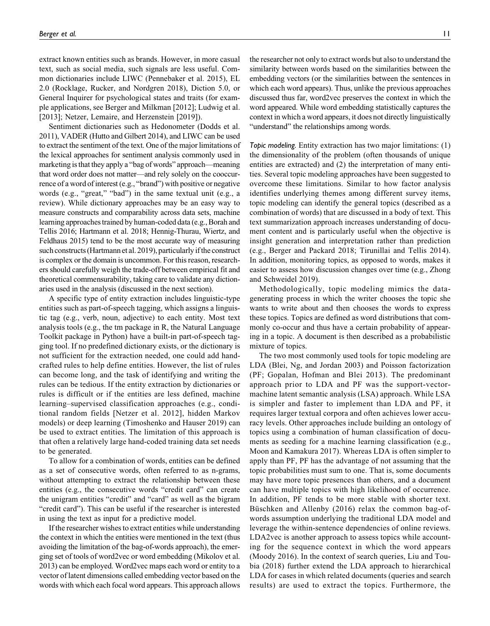extract known entities such as brands. However, in more casual text, such as social media, such signals are less useful. Common dictionaries include LIWC (Pennebaker et al. 2015), EL 2.0 (Rocklage, Rucker, and Nordgren 2018), Diction 5.0, or General Inquirer for psychological states and traits (for example applications, see Berger and Milkman [2012]; Ludwig et al. [2013]; Netzer, Lemaire, and Herzenstein [2019]).

Sentiment dictionaries such as Hedonometer (Dodds et al. 2011), VADER (Hutto and Gilbert 2014), and LIWC can be used to extract the sentiment of the text. One of the major limitations of the lexical approaches for sentiment analysis commonly used in marketing is that they apply a "bag of words" approach—meaning that word order does not matter—and rely solely on the cooccurrence of a word of interest (e.g., "brand") with positive or negative words (e.g., "great," "bad") in the same textual unit (e.g., a review). While dictionary approaches may be an easy way to measure constructs and comparability across data sets, machine learning approaches trained by human-coded data (e.g., Borah and Tellis 2016; Hartmann et al. 2018; Hennig-Thurau, Wiertz, and Feldhaus 2015) tend to be the most accurate way of measuring such constructs (Hartmann et al. 2019), particularly if the construct is complex or the domain is uncommon. For this reason, researchers should carefully weigh the trade-off between empirical fit and theoretical commensurability, taking care to validate any dictionaries used in the analysis (discussed in the next section).

A specific type of entity extraction includes linguistic-type entities such as part-of-speech tagging, which assigns a linguistic tag (e.g., verb, noun, adjective) to each entity. Most text analysis tools (e.g., the tm package in R, the Natural Language Toolkit package in Python) have a built-in part-of-speech tagging tool. If no predefined dictionary exists, or the dictionary is not sufficient for the extraction needed, one could add handcrafted rules to help define entities. However, the list of rules can become long, and the task of identifying and writing the rules can be tedious. If the entity extraction by dictionaries or rules is difficult or if the entities are less defined, machine learning–supervised classification approaches (e.g., conditional random fields [Netzer et al. 2012], hidden Markov models) or deep learning (Timoshenko and Hauser 2019) can be used to extract entities. The limitation of this approach is that often a relatively large hand-coded training data set needs to be generated.

To allow for a combination of words, entities can be defined as a set of consecutive words, often referred to as n-grams, without attempting to extract the relationship between these entities (e.g., the consecutive words "credit card" can create the unigram entities "credit" and "card" as well as the bigram "credit card"). This can be useful if the researcher is interested in using the text as input for a predictive model.

If the researcher wishes to extract entities while understanding the context in which the entities were mentioned in the text (thus avoiding the limitation of the bag-of-words approach), the emerging set of tools of word2vec or word embedding (Mikolov et al. 2013) can be employed. Word2vec maps each word or entity to a vector of latent dimensions called embedding vector based on the words with which each focal word appears. This approach allows the researcher not only to extract words but also to understand the similarity between words based on the similarities between the embedding vectors (or the similarities between the sentences in which each word appears). Thus, unlike the previous approaches discussed thus far, word2vec preserves the context in which the word appeared. While word embedding statistically captures the context in which a word appears, it does not directly linguistically "understand" the relationships among words.

Topic modeling. Entity extraction has two major limitations: (1) the dimensionality of the problem (often thousands of unique entities are extracted) and (2) the interpretation of many entities. Several topic modeling approaches have been suggested to overcome these limitations. Similar to how factor analysis identifies underlying themes among different survey items, topic modeling can identify the general topics (described as a combination of words) that are discussed in a body of text. This text summarization approach increases understanding of document content and is particularly useful when the objective is insight generation and interpretation rather than prediction (e.g., Berger and Packard 2018; Tirunillai and Tellis 2014). In addition, monitoring topics, as opposed to words, makes it easier to assess how discussion changes over time (e.g., Zhong and Schweidel 2019).

Methodologically, topic modeling mimics the datagenerating process in which the writer chooses the topic she wants to write about and then chooses the words to express these topics. Topics are defined as word distributions that commonly co-occur and thus have a certain probability of appearing in a topic. A document is then described as a probabilistic mixture of topics.

The two most commonly used tools for topic modeling are LDA (Blei, Ng, and Jordan 2003) and Poisson factorization (PF; Gopalan, Hofman and Blei 2013). The predominant approach prior to LDA and PF was the support-vectormachine latent semantic analysis (LSA) approach. While LSA is simpler and faster to implement than LDA and PF, it requires larger textual corpora and often achieves lower accuracy levels. Other approaches include building an ontology of topics using a combination of human classification of documents as seeding for a machine learning classification (e.g., Moon and Kamakura 2017). Whereas LDA is often simpler to apply than PF, PF has the advantage of not assuming that the topic probabilities must sum to one. That is, some documents may have more topic presences than others, and a document can have multiple topics with high likelihood of occurrence. In addition, PF tends to be more stable with shorter text. Büschken and Allenby (2016) relax the common bag-ofwords assumption underlying the traditional LDA model and leverage the within-sentence dependencies of online reviews. LDA2vec is another approach to assess topics while accounting for the sequence context in which the word appears (Moody 2016). In the context of search queries, Liu and Toubia (2018) further extend the LDA approach to hierarchical LDA for cases in which related documents (queries and search results) are used to extract the topics. Furthermore, the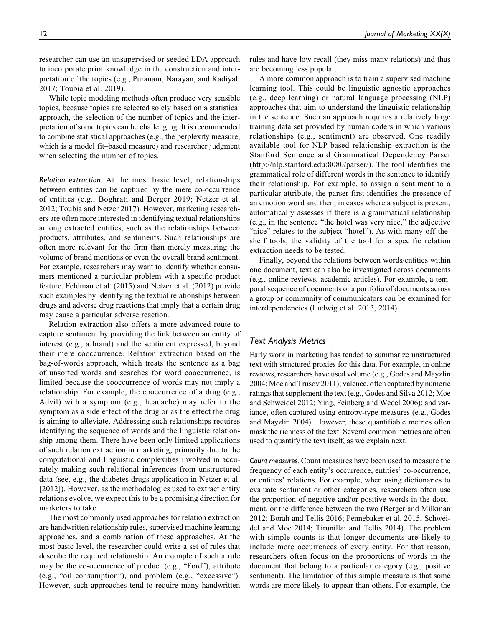researcher can use an unsupervised or seeded LDA approach to incorporate prior knowledge in the construction and interpretation of the topics (e.g., Puranam, Narayan, and Kadiyali 2017; Toubia et al. 2019).

While topic modeling methods often produce very sensible topics, because topics are selected solely based on a statistical approach, the selection of the number of topics and the interpretation of some topics can be challenging. It is recommended to combine statistical approaches (e.g., the perplexity measure, which is a model fit–based measure) and researcher judgment when selecting the number of topics.

Relation extraction. At the most basic level, relationships between entities can be captured by the mere co-occurrence of entities (e.g., Boghrati and Berger 2019; Netzer et al. 2012; Toubia and Netzer 2017). However, marketing researchers are often more interested in identifying textual relationships among extracted entities, such as the relationships between products, attributes, and sentiments. Such relationships are often more relevant for the firm than merely measuring the volume of brand mentions or even the overall brand sentiment. For example, researchers may want to identify whether consumers mentioned a particular problem with a specific product feature. Feldman et al. (2015) and Netzer et al. (2012) provide such examples by identifying the textual relationships between drugs and adverse drug reactions that imply that a certain drug may cause a particular adverse reaction.

Relation extraction also offers a more advanced route to capture sentiment by providing the link between an entity of interest (e.g., a brand) and the sentiment expressed, beyond their mere cooccurrence. Relation extraction based on the bag-of-words approach, which treats the sentence as a bag of unsorted words and searches for word cooccurrence, is limited because the cooccurrence of words may not imply a relationship. For example, the cooccurrence of a drug (e.g., Advil) with a symptom (e.g., headache) may refer to the symptom as a side effect of the drug or as the effect the drug is aiming to alleviate. Addressing such relationships requires identifying the sequence of words and the linguistic relationship among them. There have been only limited applications of such relation extraction in marketing, primarily due to the computational and linguistic complexities involved in accurately making such relational inferences from unstructured data (see, e.g., the diabetes drugs application in Netzer et al. [2012]). However, as the methodologies used to extract entity relations evolve, we expect this to be a promising direction for marketers to take.

The most commonly used approaches for relation extraction are handwritten relationship rules, supervised machine learning approaches, and a combination of these approaches. At the most basic level, the researcher could write a set of rules that describe the required relationship. An example of such a rule may be the co-occurrence of product (e.g., "Ford"), attribute (e.g., "oil consumption"), and problem (e.g., "excessive"). However, such approaches tend to require many handwritten rules and have low recall (they miss many relations) and thus are becoming less popular.

A more common approach is to train a supervised machine learning tool. This could be linguistic agnostic approaches (e.g., deep learning) or natural language processing (NLP) approaches that aim to understand the linguistic relationship in the sentence. Such an approach requires a relatively large training data set provided by human coders in which various relationships (e.g., sentiment) are observed. One readily available tool for NLP-based relationship extraction is the Stanford Sentence and Grammatical Dependency Parser [\(http://nlp.stanford.edu:8080/parser/\)](http://nlp.stanford.edu:8080/parser/). The tool identifies the grammatical role of different words in the sentence to identify their relationship. For example, to assign a sentiment to a particular attribute, the parser first identifies the presence of an emotion word and then, in cases where a subject is present, automatically assesses if there is a grammatical relationship (e.g., in the sentence "the hotel was very nice," the adjective "nice" relates to the subject "hotel"). As with many off-theshelf tools, the validity of the tool for a specific relation extraction needs to be tested.

Finally, beyond the relations between words/entities within one document, text can also be investigated across documents (e.g., online reviews, academic articles). For example, a temporal sequence of documents or a portfolio of documents across a group or community of communicators can be examined for interdependencies (Ludwig et al. 2013, 2014).

## Text Analysis Metrics

Early work in marketing has tended to summarize unstructured text with structured proxies for this data. For example, in online reviews, researchers have used volume (e.g., Godes and Mayzlin 2004; Moe and Trusov 2011); valence, often captured by numeric ratings that supplement the text (e.g., Godes and Silva 2012; Moe and Schweidel 2012; Ying, Feinberg and Wedel 2006); and variance, often captured using entropy-type measures (e.g., Godes and Mayzlin 2004). However, these quantifiable metrics often mask the richness of the text. Several common metrics are often used to quantify the text itself, as we explain next.

Count measures. Count measures have been used to measure the frequency of each entity's occurrence, entities' co-occurrence, or entities' relations. For example, when using dictionaries to evaluate sentiment or other categories, researchers often use the proportion of negative and/or positive words in the document, or the difference between the two (Berger and Milkman 2012; Borah and Tellis 2016; Pennebaker et al. 2015; Schweidel and Moe 2014; Tirunillai and Tellis 2014). The problem with simple counts is that longer documents are likely to include more occurrences of every entity. For that reason, researchers often focus on the proportions of words in the document that belong to a particular category (e.g., positive sentiment). The limitation of this simple measure is that some words are more likely to appear than others. For example, the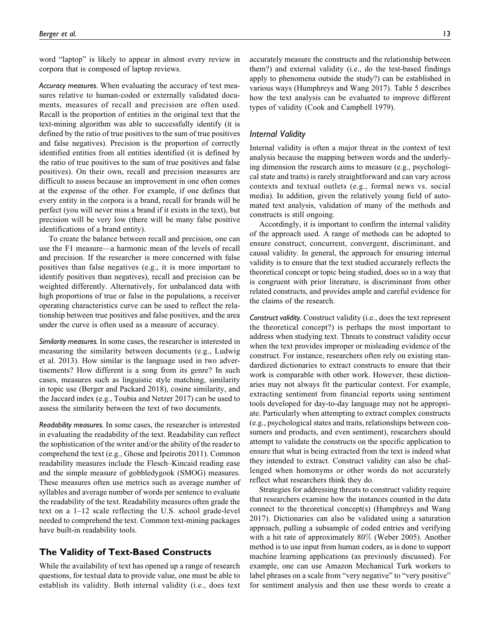word "laptop" is likely to appear in almost every review in corpora that is composed of laptop reviews.

Accuracy measures. When evaluating the accuracy of text measures relative to human-coded or externally validated documents, measures of recall and precision are often used. Recall is the proportion of entities in the original text that the text-mining algorithm was able to successfully identify (it is defined by the ratio of true positives to the sum of true positives and false negatives). Precision is the proportion of correctly identified entities from all entities identified (it is defined by the ratio of true positives to the sum of true positives and false positives). On their own, recall and precision measures are difficult to assess because an improvement in one often comes at the expense of the other. For example, if one defines that every entity in the corpora is a brand, recall for brands will be perfect (you will never miss a brand if it exists in the text), but precision will be very low (there will be many false positive identifications of a brand entity).

To create the balance between recall and precision, one can use the F1 measure—a harmonic mean of the levels of recall and precision. If the researcher is more concerned with false positives than false negatives (e.g., it is more important to identify positives than negatives), recall and precision can be weighted differently. Alternatively, for unbalanced data with high proportions of true or false in the populations, a receiver operating characteristics curve can be used to reflect the relationship between true positives and false positives, and the area under the curve is often used as a measure of accuracy.

Similarity measures. In some cases, the researcher is interested in measuring the similarity between documents (e.g., Ludwig et al. 2013). How similar is the language used in two advertisements? How different is a song from its genre? In such cases, measures such as linguistic style matching, similarity in topic use (Berger and Packard 2018), cosine similarity, and the Jaccard index (e.g., Toubia and Netzer 2017) can be used to assess the similarity between the text of two documents.

Readability measures. In some cases, the researcher is interested in evaluating the readability of the text. Readability can reflect the sophistication of the writer and/or the ability of the reader to comprehend the text (e.g., Ghose and Ipeirotis 2011). Common readability measures include the Flesch–Kincaid reading ease and the simple measure of gobbledygook (SMOG) measures. These measures often use metrics such as average number of syllables and average number of words per sentence to evaluate the readability of the text. Readability measures often grade the text on a 1–12 scale reflecting the U.S. school grade-level needed to comprehend the text. Common text-mining packages have built-in readability tools.

## The Validity of Text-Based Constructs

While the availability of text has opened up a range of research questions, for textual data to provide value, one must be able to establish its validity. Both internal validity (i.e., does text accurately measure the constructs and the relationship between them?) and external validity (i.e., do the test-based findings apply to phenomena outside the study?) can be established in various ways (Humphreys and Wang 2017). Table 5 describes how the text analysis can be evaluated to improve different types of validity (Cook and Campbell 1979).

#### Internal Validity

Internal validity is often a major threat in the context of text analysis because the mapping between words and the underlying dimension the research aims to measure (e.g., psychological state and traits) is rarely straightforward and can vary across contexts and textual outlets (e.g., formal news vs. social media). In addition, given the relatively young field of automated text analysis, validation of many of the methods and constructs is still ongoing.

Accordingly, it is important to confirm the internal validity of the approach used. A range of methods can be adopted to ensure construct, concurrent, convergent, discriminant, and causal validity. In general, the approach for ensuring internal validity is to ensure that the text studied accurately reflects the theoretical concept or topic being studied, does so in a way that is congruent with prior literature, is discriminant from other related constructs, and provides ample and careful evidence for the claims of the research.

Construct validity. Construct validity (i.e., does the text represent the theoretical concept?) is perhaps the most important to address when studying text. Threats to construct validity occur when the text provides improper or misleading evidence of the construct. For instance, researchers often rely on existing standardized dictionaries to extract constructs to ensure that their work is comparable with other work. However, these dictionaries may not always fit the particular context. For example, extracting sentiment from financial reports using sentiment tools developed for day-to-day language may not be appropriate. Particularly when attempting to extract complex constructs (e.g., psychological states and traits, relationships between consumers and products, and even sentiment), researchers should attempt to validate the constructs on the specific application to ensure that what is being extracted from the text is indeed what they intended to extract. Construct validity can also be challenged when homonyms or other words do not accurately reflect what researchers think they do.

Strategies for addressing threats to construct validity require that researchers examine how the instances counted in the data connect to the theoretical concept(s) (Humphreys and Wang 2017). Dictionaries can also be validated using a saturation approach, pulling a subsample of coded entries and verifying with a hit rate of approximately 80% (Weber 2005). Another method is to use input from human coders, as is done to support machine learning applications (as previously discussed). For example, one can use Amazon Mechanical Turk workers to label phrases on a scale from "very negative" to "very positive" for sentiment analysis and then use these words to create a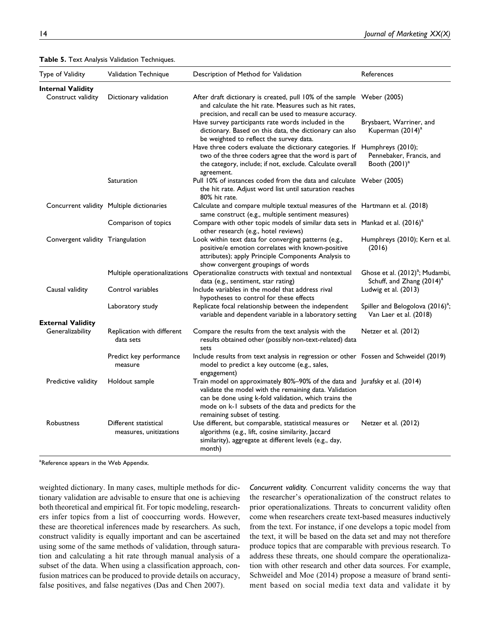| Type of Validity                               | Validation Technique                            | Description of Method for Validation                                                                                                                                                                                                                                                   | References                                                                           |
|------------------------------------------------|-------------------------------------------------|----------------------------------------------------------------------------------------------------------------------------------------------------------------------------------------------------------------------------------------------------------------------------------------|--------------------------------------------------------------------------------------|
| <b>Internal Validity</b><br>Construct validity | Dictionary validation                           | After draft dictionary is created, pull 10% of the sample Weber (2005)<br>and calculate the hit rate. Measures such as hit rates,                                                                                                                                                      |                                                                                      |
|                                                |                                                 | precision, and recall can be used to measure accuracy.<br>Have survey participants rate words included in the<br>dictionary. Based on this data, the dictionary can also<br>be weighted to reflect the survey data.                                                                    | Brysbaert, Warriner, and<br>Kuperman (2014) <sup>a</sup>                             |
|                                                |                                                 | Have three coders evaluate the dictionary categories. If Humphreys (2010);<br>two of the three coders agree that the word is part of<br>the category, include; if not, exclude. Calculate overall<br>agreement.                                                                        | Pennebaker, Francis, and<br>Booth $(2001)^a$                                         |
|                                                | Saturation                                      | Pull 10% of instances coded from the data and calculate Weber (2005)<br>the hit rate. Adjust word list until saturation reaches<br>80% hit rate.                                                                                                                                       |                                                                                      |
|                                                | Concurrent validity Multiple dictionaries       | Calculate and compare multiple textual measures of the Hartmann et al. (2018)<br>same construct (e.g., multiple sentiment measures)                                                                                                                                                    |                                                                                      |
|                                                | Comparison of topics                            | Compare with other topic models of similar data sets in Mankad et al. (2016) <sup>a</sup><br>other research (e.g., hotel reviews)                                                                                                                                                      |                                                                                      |
| Convergent validity Triangulation              |                                                 | Look within text data for converging patterns (e.g.,<br>positive/e emotion correlates with known-positive<br>attributes); apply Principle Components Analysis to<br>show convergent groupings of words                                                                                 | Humphreys (2010); Kern et al.<br>(2016)                                              |
|                                                |                                                 | Multiple operationalizations Operationalize constructs with textual and nontextual<br>data (e.g., sentiment, star rating)                                                                                                                                                              | Ghose et al. (2012) <sup>a</sup> ; Mudambi,<br>Schuff, and Zhang (2014) <sup>a</sup> |
| Causal validity                                | Control variables                               | Include variables in the model that address rival<br>hypotheses to control for these effects                                                                                                                                                                                           | Ludwig et al. $(2013)$                                                               |
|                                                | Laboratory study                                | Replicate focal relationship between the independent<br>variable and dependent variable in a laboratory setting                                                                                                                                                                        | Spiller and Belogolova (2016) <sup>a</sup> ;<br>Van Laer et al. (2018)               |
| <b>External Validity</b><br>Generalizability   | Replication with different                      | Compare the results from the text analysis with the                                                                                                                                                                                                                                    | Netzer et al. (2012)                                                                 |
|                                                | data sets                                       | results obtained other (possibly non-text-related) data<br>sets                                                                                                                                                                                                                        |                                                                                      |
|                                                | Predict key performance<br>measure              | Include results from text analysis in regression or other Fossen and Schweidel (2019)<br>model to predict a key outcome (e.g., sales,<br>engagement)                                                                                                                                   |                                                                                      |
| Predictive validity                            | Holdout sample                                  | Train model on approximately 80%-90% of the data and Jurafsky et al. (2014)<br>validate the model with the remaining data. Validation<br>can be done using k-fold validation, which trains the<br>mode on k-1 subsets of the data and predicts for the<br>remaining subset of testing. |                                                                                      |
| <b>Robustness</b>                              | Different statistical<br>measures, unitizations | Use different, but comparable, statistical measures or<br>algorithms (e.g., lift, cosine similarity, Jaccard<br>similarity), aggregate at different levels (e.g., day,<br>month)                                                                                                       | Netzer et al. (2012)                                                                 |

Table 5. Text Analysis Validation Techniques.

<sup>a</sup>Reference appears in the Web Appendix.

weighted dictionary. In many cases, multiple methods for dictionary validation are advisable to ensure that one is achieving both theoretical and empirical fit. For topic modeling, researchers infer topics from a list of cooccurring words. However, these are theoretical inferences made by researchers. As such, construct validity is equally important and can be ascertained using some of the same methods of validation, through saturation and calculating a hit rate through manual analysis of a subset of the data. When using a classification approach, confusion matrices can be produced to provide details on accuracy, false positives, and false negatives (Das and Chen 2007).

Concurrent validity. Concurrent validity concerns the way that the researcher's operationalization of the construct relates to prior operationalizations. Threats to concurrent validity often come when researchers create text-based measures inductively from the text. For instance, if one develops a topic model from the text, it will be based on the data set and may not therefore produce topics that are comparable with previous research. To address these threats, one should compare the operationalization with other research and other data sources. For example, Schweidel and Moe (2014) propose a measure of brand sentiment based on social media text data and validate it by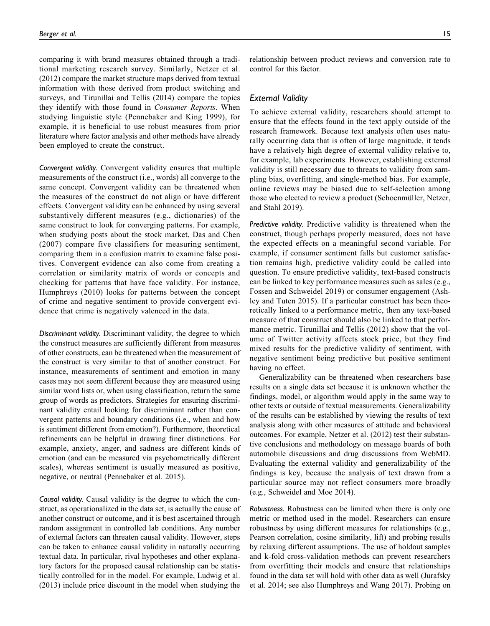comparing it with brand measures obtained through a traditional marketing research survey. Similarly, Netzer et al. (2012) compare the market structure maps derived from textual information with those derived from product switching and surveys, and Tirunillai and Tellis (2014) compare the topics they identify with those found in Consumer Reports. When studying linguistic style (Pennebaker and King 1999), for example, it is beneficial to use robust measures from prior literature where factor analysis and other methods have already been employed to create the construct.

Convergent validity. Convergent validity ensures that multiple measurements of the construct (i.e., words) all converge to the same concept. Convergent validity can be threatened when the measures of the construct do not align or have different effects. Convergent validity can be enhanced by using several substantively different measures (e.g., dictionaries) of the same construct to look for converging patterns. For example, when studying posts about the stock market, Das and Chen (2007) compare five classifiers for measuring sentiment, comparing them in a confusion matrix to examine false positives. Convergent evidence can also come from creating a correlation or similarity matrix of words or concepts and checking for patterns that have face validity. For instance, Humphreys (2010) looks for patterns between the concept of crime and negative sentiment to provide convergent evidence that crime is negatively valenced in the data.

Discriminant validity. Discriminant validity, the degree to which the construct measures are sufficiently different from measures of other constructs, can be threatened when the measurement of the construct is very similar to that of another construct. For instance, measurements of sentiment and emotion in many cases may not seem different because they are measured using similar word lists or, when using classification, return the same group of words as predictors. Strategies for ensuring discriminant validity entail looking for discriminant rather than convergent patterns and boundary conditions (i.e., when and how is sentiment different from emotion?). Furthermore, theoretical refinements can be helpful in drawing finer distinctions. For example, anxiety, anger, and sadness are different kinds of emotion (and can be measured via psychometrically different scales), whereas sentiment is usually measured as positive, negative, or neutral (Pennebaker et al. 2015).

Causal validity. Causal validity is the degree to which the construct, as operationalized in the data set, is actually the cause of another construct or outcome, and it is best ascertained through random assignment in controlled lab conditions. Any number of external factors can threaten causal validity. However, steps can be taken to enhance causal validity in naturally occurring textual data. In particular, rival hypotheses and other explanatory factors for the proposed causal relationship can be statistically controlled for in the model. For example, Ludwig et al. (2013) include price discount in the model when studying the

relationship between product reviews and conversion rate to control for this factor.

#### External Validity

To achieve external validity, researchers should attempt to ensure that the effects found in the text apply outside of the research framework. Because text analysis often uses naturally occurring data that is often of large magnitude, it tends have a relatively high degree of external validity relative to, for example, lab experiments. However, establishing external validity is still necessary due to threats to validity from sampling bias, overfitting, and single-method bias. For example, online reviews may be biased due to self-selection among those who elected to review a product (Schoenmüller, Netzer, and Stahl 2019).

Predictive validity. Predictive validity is threatened when the construct, though perhaps properly measured, does not have the expected effects on a meaningful second variable. For example, if consumer sentiment falls but customer satisfaction remains high, predictive validity could be called into question. To ensure predictive validity, text-based constructs can be linked to key performance measures such as sales (e.g., Fossen and Schweidel 2019) or consumer engagement (Ashley and Tuten 2015). If a particular construct has been theoretically linked to a performance metric, then any text-based measure of that construct should also be linked to that performance metric. Tirunillai and Tellis (2012) show that the volume of Twitter activity affects stock price, but they find mixed results for the predictive validity of sentiment, with negative sentiment being predictive but positive sentiment having no effect.

Generalizability can be threatened when researchers base results on a single data set because it is unknown whether the findings, model, or algorithm would apply in the same way to other texts or outside of textual measurements. Generalizability of the results can be established by viewing the results of text analysis along with other measures of attitude and behavioral outcomes. For example, Netzer et al. (2012) test their substantive conclusions and methodology on message boards of both automobile discussions and drug discussions from WebMD. Evaluating the external validity and generalizability of the findings is key, because the analysis of text drawn from a particular source may not reflect consumers more broadly (e.g., Schweidel and Moe 2014).

Robustness. Robustness can be limited when there is only one metric or method used in the model. Researchers can ensure robustness by using different measures for relationships (e.g., Pearson correlation, cosine similarity, lift) and probing results by relaxing different assumptions. The use of holdout samples and k-fold cross-validation methods can prevent researchers from overfitting their models and ensure that relationships found in the data set will hold with other data as well (Jurafsky et al. 2014; see also Humphreys and Wang 2017). Probing on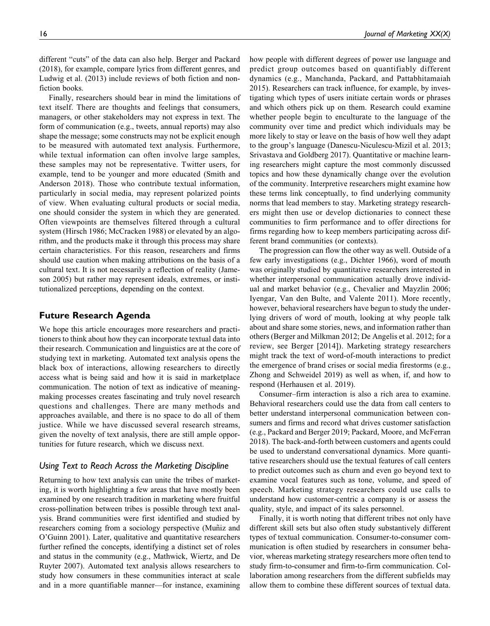different "cuts" of the data can also help. Berger and Packard (2018), for example, compare lyrics from different genres, and Ludwig et al. (2013) include reviews of both fiction and nonfiction books.

Finally, researchers should bear in mind the limitations of text itself. There are thoughts and feelings that consumers, managers, or other stakeholders may not express in text. The form of communication (e.g., tweets, annual reports) may also shape the message; some constructs may not be explicit enough to be measured with automated text analysis. Furthermore, while textual information can often involve large samples, these samples may not be representative. Twitter users, for example, tend to be younger and more educated (Smith and Anderson 2018). Those who contribute textual information, particularly in social media, may represent polarized points of view. When evaluating cultural products or social media, one should consider the system in which they are generated. Often viewpoints are themselves filtered through a cultural system (Hirsch 1986; McCracken 1988) or elevated by an algorithm, and the products make it through this process may share certain characteristics. For this reason, researchers and firms should use caution when making attributions on the basis of a cultural text. It is not necessarily a reflection of reality (Jameson 2005) but rather may represent ideals, extremes, or institutionalized perceptions, depending on the context.

## Future Research Agenda

We hope this article encourages more researchers and practitioners to think about how they can incorporate textual data into their research. Communication and linguistics are at the core of studying text in marketing. Automated text analysis opens the black box of interactions, allowing researchers to directly access what is being said and how it is said in marketplace communication. The notion of text as indicative of meaningmaking processes creates fascinating and truly novel research questions and challenges. There are many methods and approaches available, and there is no space to do all of them justice. While we have discussed several research streams, given the novelty of text analysis, there are still ample opportunities for future research, which we discuss next.

## Using Text to Reach Across the Marketing Discipline

Returning to how text analysis can unite the tribes of marketing, it is worth highlighting a few areas that have mostly been examined by one research tradition in marketing where fruitful cross-pollination between tribes is possible through text analysis. Brand communities were first identified and studied by researchers coming from a sociology perspective (Muñiz and O'Guinn 2001). Later, qualitative and quantitative researchers further refined the concepts, identifying a distinct set of roles and status in the community (e.g., Mathwick, Wiertz, and De Ruyter 2007). Automated text analysis allows researchers to study how consumers in these communities interact at scale and in a more quantifiable manner—for instance, examining how people with different degrees of power use language and predict group outcomes based on quantifiably different dynamics (e.g., Manchanda, Packard, and Pattabhitamaiah 2015). Researchers can track influence, for example, by investigating which types of users initiate certain words or phrases and which others pick up on them. Research could examine whether people begin to enculturate to the language of the community over time and predict which individuals may be more likely to stay or leave on the basis of how well they adapt to the group's language (Danescu-Niculescu-Mizil et al. 2013; Srivastava and Goldberg 2017). Quantitative or machine learning researchers might capture the most commonly discussed topics and how these dynamically change over the evolution of the community. Interpretive researchers might examine how these terms link conceptually, to find underlying community norms that lead members to stay. Marketing strategy researchers might then use or develop dictionaries to connect these communities to firm performance and to offer directions for firms regarding how to keep members participating across different brand communities (or contexts).

The progression can flow the other way as well. Outside of a few early investigations (e.g., Dichter 1966), word of mouth was originally studied by quantitative researchers interested in whether interpersonal communication actually drove individual and market behavior (e.g., Chevalier and Mayzlin 2006; Iyengar, Van den Bulte, and Valente 2011). More recently, however, behavioral researchers have begun to study the underlying drivers of word of mouth, looking at why people talk about and share some stories, news, and information rather than others (Berger and Milkman 2012; De Angelis et al. 2012; for a review, see Berger [2014]). Marketing strategy researchers might track the text of word-of-mouth interactions to predict the emergence of brand crises or social media firestorms (e.g., Zhong and Schweidel 2019) as well as when, if, and how to respond (Herhausen et al. 2019).

Consumer–firm interaction is also a rich area to examine. Behavioral researchers could use the data from call centers to better understand interpersonal communication between consumers and firms and record what drives customer satisfaction (e.g., Packard and Berger 2019; Packard, Moore, and McFerran 2018). The back-and-forth between customers and agents could be used to understand conversational dynamics. More quantitative researchers should use the textual features of call centers to predict outcomes such as churn and even go beyond text to examine vocal features such as tone, volume, and speed of speech. Marketing strategy researchers could use calls to understand how customer-centric a company is or assess the quality, style, and impact of its sales personnel.

Finally, it is worth noting that different tribes not only have different skill sets but also often study substantively different types of textual communication. Consumer-to-consumer communication is often studied by researchers in consumer behavior, whereas marketing strategy researchers more often tend to study firm-to-consumer and firm-to-firm communication. Collaboration among researchers from the different subfields may allow them to combine these different sources of textual data.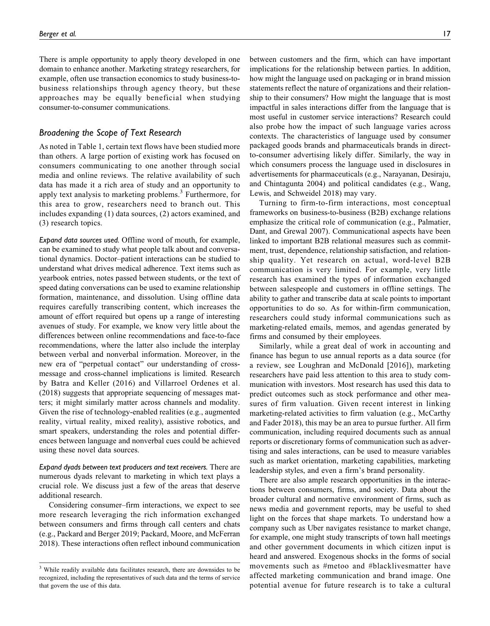There is ample opportunity to apply theory developed in one domain to enhance another. Marketing strategy researchers, for example, often use transaction economics to study business-tobusiness relationships through agency theory, but these approaches may be equally beneficial when studying consumer-to-consumer communications.

## Broadening the Scope of Text Research

As noted in Table 1, certain text flows have been studied more than others. A large portion of existing work has focused on consumers communicating to one another through social media and online reviews. The relative availability of such data has made it a rich area of study and an opportunity to apply text analysis to marketing problems.<sup>3</sup> Furthermore, for this area to grow, researchers need to branch out. This includes expanding (1) data sources, (2) actors examined, and (3) research topics.

Expand data sources used. Offline word of mouth, for example, can be examined to study what people talk about and conversational dynamics. Doctor–patient interactions can be studied to understand what drives medical adherence. Text items such as yearbook entries, notes passed between students, or the text of speed dating conversations can be used to examine relationship formation, maintenance, and dissolution. Using offline data requires carefully transcribing content, which increases the amount of effort required but opens up a range of interesting avenues of study. For example, we know very little about the differences between online recommendations and face-to-face recommendations, where the latter also include the interplay between verbal and nonverbal information. Moreover, in the new era of "perpetual contact" our understanding of crossmessage and cross-channel implications is limited. Research by Batra and Keller (2016) and Villarroel Ordenes et al. (2018) suggests that appropriate sequencing of messages matters; it might similarly matter across channels and modality. Given the rise of technology-enabled realities (e.g., augmented reality, virtual reality, mixed reality), assistive robotics, and smart speakers, understanding the roles and potential differences between language and nonverbal cues could be achieved using these novel data sources.

Expand dyads between text producers and text receivers. There are numerous dyads relevant to marketing in which text plays a crucial role. We discuss just a few of the areas that deserve additional research.

Considering consumer–firm interactions, we expect to see more research leveraging the rich information exchanged between consumers and firms through call centers and chats (e.g., Packard and Berger 2019; Packard, Moore, and McFerran 2018). These interactions often reflect inbound communication between customers and the firm, which can have important implications for the relationship between parties. In addition, how might the language used on packaging or in brand mission statements reflect the nature of organizations and their relationship to their consumers? How might the language that is most impactful in sales interactions differ from the language that is most useful in customer service interactions? Research could also probe how the impact of such language varies across contexts. The characteristics of language used by consumer packaged goods brands and pharmaceuticals brands in directto-consumer advertising likely differ. Similarly, the way in which consumers process the language used in disclosures in advertisements for pharmaceuticals (e.g., Narayanan, Desiraju, and Chintagunta 2004) and political candidates (e.g., Wang, Lewis, and Schweidel 2018) may vary.

Turning to firm-to-firm interactions, most conceptual frameworks on business-to-business (B2B) exchange relations emphasize the critical role of communication (e.g., Palmatier, Dant, and Grewal 2007). Communicational aspects have been linked to important B2B relational measures such as commitment, trust, dependence, relationship satisfaction, and relationship quality. Yet research on actual, word-level B2B communication is very limited. For example, very little research has examined the types of information exchanged between salespeople and customers in offline settings. The ability to gather and transcribe data at scale points to important opportunities to do so. As for within-firm communication, researchers could study informal communications such as marketing-related emails, memos, and agendas generated by firms and consumed by their employees.

Similarly, while a great deal of work in accounting and finance has begun to use annual reports as a data source (for a review, see Loughran and McDonald [2016]), marketing researchers have paid less attention to this area to study communication with investors. Most research has used this data to predict outcomes such as stock performance and other measures of firm valuation. Given recent interest in linking marketing-related activities to firm valuation (e.g., McCarthy and Fader 2018), this may be an area to pursue further. All firm communication, including required documents such as annual reports or discretionary forms of communication such as advertising and sales interactions, can be used to measure variables such as market orientation, marketing capabilities, marketing leadership styles, and even a firm's brand personality.

There are also ample research opportunities in the interactions between consumers, firms, and society. Data about the broader cultural and normative environment of firms, such as news media and government reports, may be useful to shed light on the forces that shape markets. To understand how a company such as Uber navigates resistance to market change, for example, one might study transcripts of town hall meetings and other government documents in which citizen input is heard and answered. Exogenous shocks in the forms of social movements such as #metoo and #blacklivesmatter have affected marketing communication and brand image. One potential avenue for future research is to take a cultural

<sup>&</sup>lt;sup>3</sup> While readily available data facilitates research, there are downsides to be recognized, including the representatives of such data and the terms of service that govern the use of this data.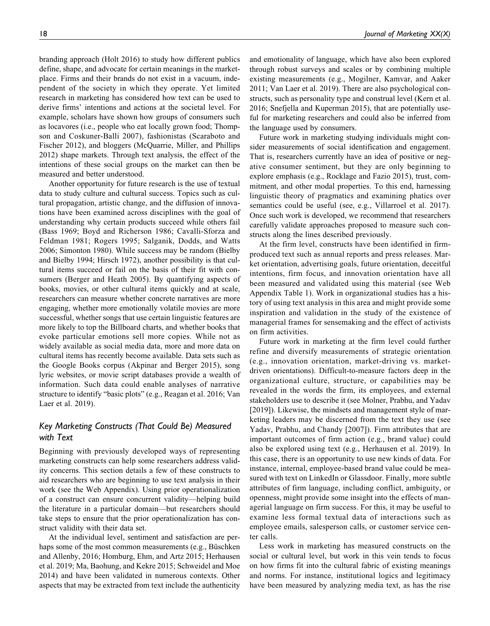branding approach (Holt 2016) to study how different publics define, shape, and advocate for certain meanings in the marketplace. Firms and their brands do not exist in a vacuum, independent of the society in which they operate. Yet limited research in marketing has considered how text can be used to derive firms' intentions and actions at the societal level. For example, scholars have shown how groups of consumers such as locavores (i.e., people who eat locally grown food; Thompson and Coskuner-Balli 2007), fashionistas (Scaraboto and Fischer 2012), and bloggers (McQuarrie, Miller, and Phillips 2012) shape markets. Through text analysis, the effect of the intentions of these social groups on the market can then be measured and better understood.

Another opportunity for future research is the use of textual data to study culture and cultural success. Topics such as cultural propagation, artistic change, and the diffusion of innovations have been examined across disciplines with the goal of understanding why certain products succeed while others fail (Bass 1969; Boyd and Richerson 1986; Cavalli-Sforza and Feldman 1981; Rogers 1995; Salganik, Dodds, and Watts 2006; Simonton 1980). While success may be random (Bielby and Bielby 1994; Hirsch 1972), another possibility is that cultural items succeed or fail on the basis of their fit with consumers (Berger and Heath 2005). By quantifying aspects of books, movies, or other cultural items quickly and at scale, researchers can measure whether concrete narratives are more engaging, whether more emotionally volatile movies are more successful, whether songs that use certain linguistic features are more likely to top the Billboard charts, and whether books that evoke particular emotions sell more copies. While not as widely available as social media data, more and more data on cultural items has recently become available. Data sets such as the Google Books corpus (Akpinar and Berger 2015), song lyric websites, or movie script databases provide a wealth of information. Such data could enable analyses of narrative structure to identify "basic plots" (e.g., Reagan et al. 2016; Van Laer et al. 2019).

## Key Marketing Constructs (That Could Be) Measured with Text

Beginning with previously developed ways of representing marketing constructs can help some researchers address validity concerns. This section details a few of these constructs to aid researchers who are beginning to use text analysis in their work (see the Web Appendix). Using prior operationalization of a construct can ensure concurrent validity—helping build the literature in a particular domain—but researchers should take steps to ensure that the prior operationalization has construct validity with their data set.

At the individual level, sentiment and satisfaction are perhaps some of the most common measurements (e.g., Büschken and Allenby, 2016; Homburg, Ehm, and Artz 2015; Herhausen et al. 2019; Ma, Baohung, and Kekre 2015; Schweidel and Moe 2014) and have been validated in numerous contexts. Other aspects that may be extracted from text include the authenticity and emotionality of language, which have also been explored through robust surveys and scales or by combining multiple existing measurements (e.g., Mogilner, Kamvar, and Aaker 2011; Van Laer et al. 2019). There are also psychological constructs, such as personality type and construal level (Kern et al. 2016; Snefjella and Kuperman 2015), that are potentially useful for marketing researchers and could also be inferred from the language used by consumers.

Future work in marketing studying individuals might consider measurements of social identification and engagement. That is, researchers currently have an idea of positive or negative consumer sentiment, but they are only beginning to explore emphasis (e.g., Rocklage and Fazio 2015), trust, commitment, and other modal properties. To this end, harnessing linguistic theory of pragmatics and examining phatics over semantics could be useful (see, e.g., Villarroel et al. 2017). Once such work is developed, we recommend that researchers carefully validate approaches proposed to measure such constructs along the lines described previously.

At the firm level, constructs have been identified in firmproduced text such as annual reports and press releases. Market orientation, advertising goals, future orientation, deceitful intentions, firm focus, and innovation orientation have all been measured and validated using this material (see Web Appendix Table 1). Work in organizational studies has a history of using text analysis in this area and might provide some inspiration and validation in the study of the existence of managerial frames for sensemaking and the effect of activists on firm activities.

Future work in marketing at the firm level could further refine and diversify measurements of strategic orientation (e.g., innovation orientation, market-driving vs. marketdriven orientations). Difficult-to-measure factors deep in the organizational culture, structure, or capabilities may be revealed in the words the firm, its employees, and external stakeholders use to describe it (see Molner, Prabhu, and Yadav [2019]). Likewise, the mindsets and management style of marketing leaders may be discerned from the text they use (see Yadav, Prabhu, and Chandy [2007]). Firm attributes that are important outcomes of firm action (e.g., brand value) could also be explored using text (e.g., Herhausen et al. 2019). In this case, there is an opportunity to use new kinds of data. For instance, internal, employee-based brand value could be measured with text on LinkedIn or Glassdoor. Finally, more subtle attributes of firm language, including conflict, ambiguity, or openness, might provide some insight into the effects of managerial language on firm success. For this, it may be useful to examine less formal textual data of interactions such as employee emails, salesperson calls, or customer service center calls.

Less work in marketing has measured constructs on the social or cultural level, but work in this vein tends to focus on how firms fit into the cultural fabric of existing meanings and norms. For instance, institutional logics and legitimacy have been measured by analyzing media text, as has the rise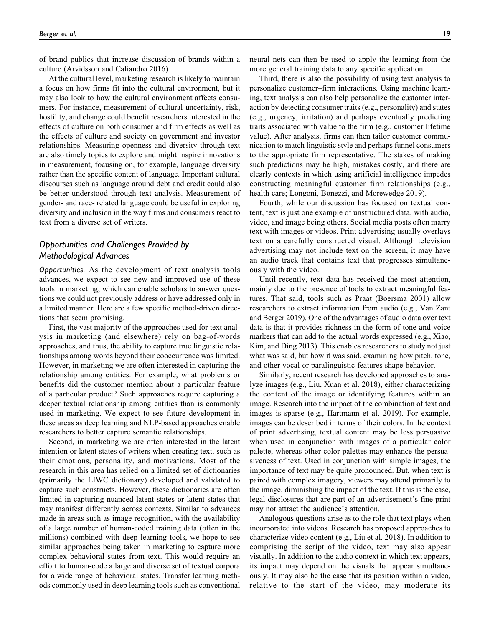of brand publics that increase discussion of brands within a culture (Arvidsson and Caliandro 2016).

At the cultural level, marketing research is likely to maintain a focus on how firms fit into the cultural environment, but it may also look to how the cultural environment affects consumers. For instance, measurement of cultural uncertainty, risk, hostility, and change could benefit researchers interested in the effects of culture on both consumer and firm effects as well as the effects of culture and society on government and investor relationships. Measuring openness and diversity through text are also timely topics to explore and might inspire innovations in measurement, focusing on, for example, language diversity rather than the specific content of language. Important cultural discourses such as language around debt and credit could also be better understood through text analysis. Measurement of gender- and race- related language could be useful in exploring diversity and inclusion in the way firms and consumers react to text from a diverse set of writers.

# Opportunities and Challenges Provided by Methodological Advances

Opportunities. As the development of text analysis tools advances, we expect to see new and improved use of these tools in marketing, which can enable scholars to answer questions we could not previously address or have addressed only in a limited manner. Here are a few specific method-driven directions that seem promising.

First, the vast majority of the approaches used for text analysis in marketing (and elsewhere) rely on bag-of-words approaches, and thus, the ability to capture true linguistic relationships among words beyond their cooccurrence was limited. However, in marketing we are often interested in capturing the relationship among entities. For example, what problems or benefits did the customer mention about a particular feature of a particular product? Such approaches require capturing a deeper textual relationship among entities than is commonly used in marketing. We expect to see future development in these areas as deep learning and NLP-based approaches enable researchers to better capture semantic relationships.

Second, in marketing we are often interested in the latent intention or latent states of writers when creating text, such as their emotions, personality, and motivations. Most of the research in this area has relied on a limited set of dictionaries (primarily the LIWC dictionary) developed and validated to capture such constructs. However, these dictionaries are often limited in capturing nuanced latent states or latent states that may manifest differently across contexts. Similar to advances made in areas such as image recognition, with the availability of a large number of human-coded training data (often in the millions) combined with deep learning tools, we hope to see similar approaches being taken in marketing to capture more complex behavioral states from text. This would require an effort to human-code a large and diverse set of textual corpora for a wide range of behavioral states. Transfer learning methods commonly used in deep learning tools such as conventional

neural nets can then be used to apply the learning from the more general training data to any specific application.

Third, there is also the possibility of using text analysis to personalize customer–firm interactions. Using machine learning, text analysis can also help personalize the customer interaction by detecting consumer traits (e.g., personality) and states (e.g., urgency, irritation) and perhaps eventually predicting traits associated with value to the firm (e.g., customer lifetime value). After analysis, firms can then tailor customer communication to match linguistic style and perhaps funnel consumers to the appropriate firm representative. The stakes of making such predictions may be high, mistakes costly, and there are clearly contexts in which using artificial intelligence impedes constructing meaningful customer–firm relationships (e.g., health care; Longoni, Bonezzi, and Morewedge 2019).

Fourth, while our discussion has focused on textual content, text is just one example of unstructured data, with audio, video, and image being others. Social media posts often marry text with images or videos. Print advertising usually overlays text on a carefully constructed visual. Although television advertising may not include text on the screen, it may have an audio track that contains text that progresses simultaneously with the video.

Until recently, text data has received the most attention, mainly due to the presence of tools to extract meaningful features. That said, tools such as Praat (Boersma 2001) allow researchers to extract information from audio (e.g., Van Zant and Berger 2019). One of the advantages of audio data over text data is that it provides richness in the form of tone and voice markers that can add to the actual words expressed (e.g., Xiao, Kim, and Ding 2013). This enables researchers to study not just what was said, but how it was said, examining how pitch, tone, and other vocal or paralinguistic features shape behavior.

Similarly, recent research has developed approaches to analyze images (e.g., Liu, Xuan et al. 2018), either characterizing the content of the image or identifying features within an image. Research into the impact of the combination of text and images is sparse (e.g., Hartmann et al. 2019). For example, images can be described in terms of their colors. In the context of print advertising, textual content may be less persuasive when used in conjunction with images of a particular color palette, whereas other color palettes may enhance the persuasiveness of text. Used in conjunction with simple images, the importance of text may be quite pronounced. But, when text is paired with complex imagery, viewers may attend primarily to the image, diminishing the impact of the text. If this is the case, legal disclosures that are part of an advertisement's fine print may not attract the audience's attention.

Analogous questions arise as to the role that text plays when incorporated into videos. Research has proposed approaches to characterize video content (e.g., Liu et al. 2018). In addition to comprising the script of the video, text may also appear visually. In addition to the audio context in which text appears, its impact may depend on the visuals that appear simultaneously. It may also be the case that its position within a video, relative to the start of the video, may moderate its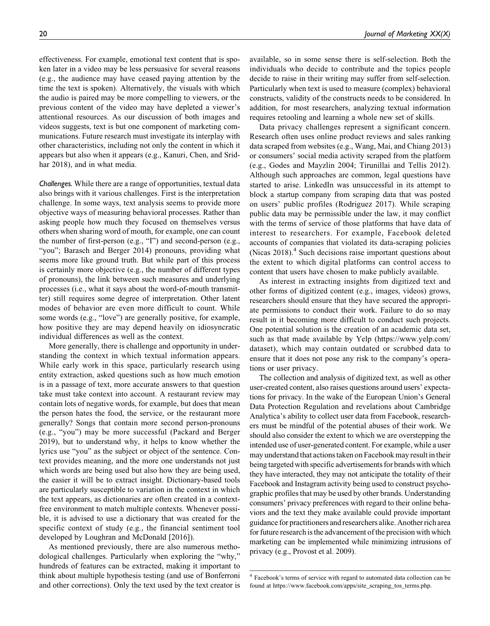effectiveness. For example, emotional text content that is spoken later in a video may be less persuasive for several reasons (e.g., the audience may have ceased paying attention by the time the text is spoken). Alternatively, the visuals with which the audio is paired may be more compelling to viewers, or the previous content of the video may have depleted a viewer's attentional resources. As our discussion of both images and videos suggests, text is but one component of marketing communications. Future research must investigate its interplay with other characteristics, including not only the content in which it appears but also when it appears (e.g., Kanuri, Chen, and Sridhar 2018), and in what media.

Challenges. While there are a range of opportunities, textual data also brings with it various challenges. First is the interpretation challenge. In some ways, text analysis seems to provide more objective ways of measuring behavioral processes. Rather than asking people how much they focused on themselves versus others when sharing word of mouth, for example, one can count the number of first-person (e.g., "I") and second-person (e.g., "you"; Barasch and Berger 2014) pronouns, providing what seems more like ground truth. But while part of this process is certainly more objective (e.g., the number of different types of pronouns), the link between such measures and underlying processes (i.e., what it says about the word-of-mouth transmitter) still requires some degree of interpretation. Other latent modes of behavior are even more difficult to count. While some words (e.g., "love") are generally positive, for example, how positive they are may depend heavily on idiosyncratic individual differences as well as the context.

More generally, there is challenge and opportunity in understanding the context in which textual information appears. While early work in this space, particularly research using entity extraction, asked questions such as how much emotion is in a passage of text, more accurate answers to that question take must take context into account. A restaurant review may contain lots of negative words, for example, but does that mean the person hates the food, the service, or the restaurant more generally? Songs that contain more second person-pronouns (e.g., "you") may be more successful (Packard and Berger 2019), but to understand why, it helps to know whether the lyrics use "you" as the subject or object of the sentence. Context provides meaning, and the more one understands not just which words are being used but also how they are being used, the easier it will be to extract insight. Dictionary-based tools are particularly susceptible to variation in the context in which the text appears, as dictionaries are often created in a contextfree environment to match multiple contexts. Whenever possible, it is advised to use a dictionary that was created for the specific context of study (e.g., the financial sentiment tool developed by Loughran and McDonald [2016]).

As mentioned previously, there are also numerous methodological challenges. Particularly when exploring the "why," hundreds of features can be extracted, making it important to think about multiple hypothesis testing (and use of Bonferroni and other corrections). Only the text used by the text creator is available, so in some sense there is self-selection. Both the individuals who decide to contribute and the topics people decide to raise in their writing may suffer from self-selection. Particularly when text is used to measure (complex) behavioral constructs, validity of the constructs needs to be considered. In addition, for most researchers, analyzing textual information requires retooling and learning a whole new set of skills.

Data privacy challenges represent a significant concern. Research often uses online product reviews and sales ranking data scraped from websites (e.g., Wang, Mai, and Chiang 2013) or consumers' social media activity scraped from the platform (e.g., Godes and Mayzlin 2004; Tirunillai and Tellis 2012). Although such approaches are common, legal questions have started to arise. LinkedIn was unsuccessful in its attempt to block a startup company from scraping data that was posted on users' public profiles (Rodriguez 2017). While scraping public data may be permissible under the law, it may conflict with the terms of service of those platforms that have data of interest to researchers. For example, Facebook deleted accounts of companies that violated its data-scraping policies (Nicas  $2018$ ).<sup>4</sup> Such decisions raise important questions about the extent to which digital platforms can control access to content that users have chosen to make publicly available.

As interest in extracting insights from digitized text and other forms of digitized content (e.g., images, videos) grows, researchers should ensure that they have secured the appropriate permissions to conduct their work. Failure to do so may result in it becoming more difficult to conduct such projects. One potential solution is the creation of an academic data set, such as that made available by Yelp ([https://www.yelp.com/](https://www.yelp.com/dataset) [dataset](https://www.yelp.com/dataset)), which may contain outdated or scrubbed data to ensure that it does not pose any risk to the company's operations or user privacy.

The collection and analysis of digitized text, as well as other user-created content, also raises questions around users' expectations for privacy. In the wake of the European Union's General Data Protection Regulation and revelations about Cambridge Analytica's ability to collect user data from Facebook, researchers must be mindful of the potential abuses of their work. We should also consider the extent to which we are overstepping the intended use of user-generated content. For example, while a user may understand that actions taken on Facebook may resultin their being targeted with specific advertisements for brands with which they have interacted, they may not anticipate the totality of their Facebook and Instagram activity being used to construct psychographic profiles that may be used by other brands. Understanding consumers' privacy preferences with regard to their online behaviors and the text they make available could provide important guidance for practitioners and researchers alike. Another rich area for future research is the advancement of the precision with which marketing can be implemented while minimizing intrusions of privacy (e.g., Provost et al. 2009).

<sup>4</sup> Facebook's terms of service with regard to automated data collection can be found at [https://www.facebook.com/apps/site\\_scraping\\_tos\\_terms.php.](https://www.facebook.com/apps/site_scraping_tos_terms.php)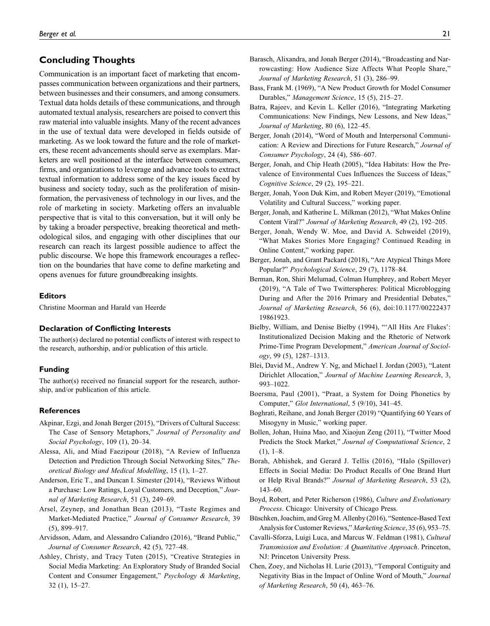# Concluding Thoughts

Communication is an important facet of marketing that encompasses communication between organizations and their partners, between businesses and their consumers, and among consumers. Textual data holds details of these communications, and through automated textual analysis, researchers are poised to convert this raw material into valuable insights. Many of the recent advances in the use of textual data were developed in fields outside of marketing. As we look toward the future and the role of marketers, these recent advancements should serve as exemplars. Marketers are well positioned at the interface between consumers, firms, and organizations to leverage and advance tools to extract textual information to address some of the key issues faced by business and society today, such as the proliferation of misinformation, the pervasiveness of technology in our lives, and the role of marketing in society. Marketing offers an invaluable perspective that is vital to this conversation, but it will only be by taking a broader perspective, breaking theoretical and methodological silos, and engaging with other disciplines that our research can reach its largest possible audience to affect the public discourse. We hope this framework encourages a reflection on the boundaries that have come to define marketing and opens avenues for future groundbreaking insights.

## Editors

Christine Moorman and Harald van Heerde

#### Declaration of Conflicting Interests

The author(s) declared no potential conflicts of interest with respect to the research, authorship, and/or publication of this article.

#### Funding

The author(s) received no financial support for the research, authorship, and/or publication of this article.

#### **References**

- Akpinar, Ezgi, and Jonah Berger (2015), "Drivers of Cultural Success: The Case of Sensory Metaphors," Journal of Personality and Social Psychology, 109 (1), 20–34.
- Alessa, Ali, and Miad Faezipour (2018), "A Review of Influenza Detection and Prediction Through Social Networking Sites," Theoretical Biology and Medical Modelling, 15 (1), 1–27.
- Anderson, Eric T., and Duncan I. Simester (2014), "Reviews Without a Purchase: Low Ratings, Loyal Customers, and Deception," Journal of Marketing Research, 51 (3), 249–69.
- Arsel, Zeynep, and Jonathan Bean (2013), "Taste Regimes and Market-Mediated Practice," Journal of Consumer Research, 39 (5), 899–917.
- Arvidsson, Adam, and Alessandro Caliandro (2016), "Brand Public," Journal of Consumer Research, 42 (5), 727–48.
- Ashley, Christy, and Tracy Tuten (2015), "Creative Strategies in Social Media Marketing: An Exploratory Study of Branded Social Content and Consumer Engagement," Psychology & Marketing, 32 (1), 15–27.
- Barasch, Alixandra, and Jonah Berger (2014), "Broadcasting and Narrowcasting: How Audience Size Affects What People Share," Journal of Marketing Research, 51 (3), 286–99.
- Bass, Frank M. (1969), "A New Product Growth for Model Consumer Durables," Management Science, 15 (5), 215–27.
- Batra, Rajeev, and Kevin L. Keller (2016), "Integrating Marketing Communications: New Findings, New Lessons, and New Ideas," Journal of Marketing, 80 (6), 122–45.
- Berger, Jonah (2014), "Word of Mouth and Interpersonal Communication: A Review and Directions for Future Research," Journal of Consumer Psychology, 24 (4), 586–607.
- Berger, Jonah, and Chip Heath (2005), "Idea Habitats: How the Prevalence of Environmental Cues Influences the Success of Ideas," Cognitive Science, 29 (2), 195–221.
- Berger, Jonah, Yoon Duk Kim, and Robert Meyer (2019), "Emotional Volatility and Cultural Success," working paper.
- Berger, Jonah, and Katherine L. Milkman (2012), "What Makes Online Content Viral?" Journal of Marketing Research, 49 (2), 192–205.
- Berger, Jonah, Wendy W. Moe, and David A. Schweidel (2019), "What Makes Stories More Engaging? Continued Reading in Online Content," working paper.
- Berger, Jonah, and Grant Packard (2018), "Are Atypical Things More Popular?" Psychological Science, 29 (7), 1178–84.
- Berman, Ron, Shiri Melumad, Colman Humphrey, and Robert Meyer (2019), "A Tale of Two Twitterspheres: Political Microblogging During and After the 2016 Primary and Presidential Debates," Journal of Marketing Research, 56 (6), doi:10.1177/00222437 19861923.
- Bielby, William, and Denise Bielby (1994), "'All Hits Are Flukes': Institutionalized Decision Making and the Rhetoric of Network Prime-Time Program Development," American Journal of Sociology, 99 (5), 1287–1313.
- Blei, David M., Andrew Y. Ng, and Michael I. Jordan (2003), "Latent Dirichlet Allocation," Journal of Machine Learning Research, 3, 993–1022.
- Boersma, Paul (2001), "Praat, a System for Doing Phonetics by Computer," Glot International, 5 (9/10), 341–45.
- Boghrati, Reihane, and Jonah Berger (2019) "Quantifying 60 Years of Misogyny in Music," working paper.
- Bollen, Johan, Huina Mao, and Xiaojun Zeng (2011), "Twitter Mood Predicts the Stock Market," Journal of Computational Science, 2  $(1), 1-8.$
- Borah, Abhishek, and Gerard J. Tellis (2016), "Halo (Spillover) Effects in Social Media: Do Product Recalls of One Brand Hurt or Help Rival Brands?" Journal of Marketing Research, 53 (2), 143–60.
- Boyd, Robert, and Peter Richerson (1986), Culture and Evolutionary Process. Chicago: University of Chicago Press.
- Büschken, Joachim, and Greg M. Allenby (2016), "Sentence-Based Text Analysis for Customer Reviews," Marketing Science, 35 (6), 953–75.
- Cavalli-Sforza, Luigi Luca, and Marcus W. Feldman (1981), Cultural Transmission and Evolution: A Quantitative Approach. Princeton, NJ: Princeton University Press.
- Chen, Zoey, and Nicholas H. Lurie (2013), "Temporal Contiguity and Negativity Bias in the Impact of Online Word of Mouth," Journal of Marketing Research, 50 (4), 463–76.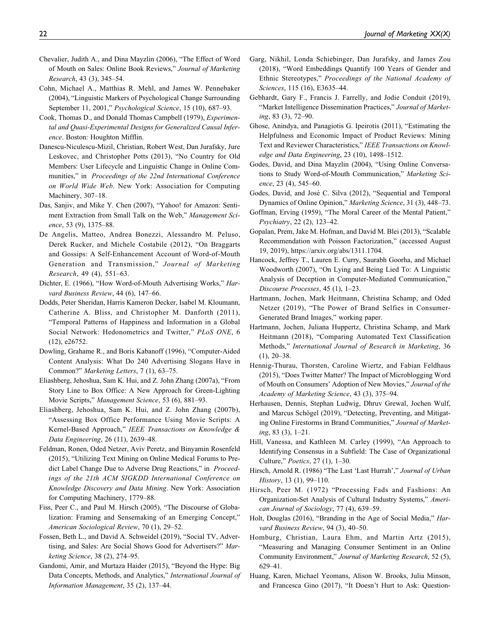- Chevalier, Judith A., and Dina Mayzlin (2006), "The Effect of Word of Mouth on Sales: Online Book Reviews," Journal of Marketing Research, 43 (3), 345–54.
- Cohn, Michael A., Matthias R. Mehl, and James W. Pennebaker (2004), "Linguistic Markers of Psychological Change Surrounding September 11, 2001," Psychological Science, 15 (10), 687–93.
- Cook, Thomas D., and Donald Thomas Campbell (1979), Experimental and Quasi-Experimental Designs for Generalized Causal Inference. Boston: Houghton Mifflin.
- Danescu-Niculescu-Mizil, Christian, Robert West, Dan Jurafsky, Jure Leskovec, and Christopher Potts (2013), "No Country for Old Members: User Lifecycle and Linguistic Change in Online Communities," in Proceedings of the 22nd International Conference on World Wide Web. New York: Association for Computing Machinery, 307–18.
- Das, Sanjiv, and Mike Y. Chen (2007), "Yahoo! for Amazon: Sentiment Extraction from Small Talk on the Web," Management Science, 53 (9), 1375–88.
- De Angelis, Matteo, Andrea Bonezzi, Alessandro M. Peluso, Derek Rucker, and Michele Costabile (2012), "On Braggarts and Gossips: A Self-Enhancement Account of Word-of-Mouth Generation and Transmission," Journal of Marketing Research, 49 (4), 551–63.
- Dichter, E. (1966), "How Word-of-Mouth Advertising Works," Harvard Business Review, 44 (6), 147–66.
- Dodds, Peter Sheridan, Harris Kameron Decker, Isabel M. Kloumann, Catherine A. Bliss, and Christopher M. Danforth (2011), "Temporal Patterns of Happiness and Information in a Global Social Network: Hedonometrics and Twitter," PLoS ONE, 6 (12), e26752.
- Dowling, Grahame R., and Boris Kabanoff (1996), "Computer-Aided Content Analysis: What Do 240 Advertising Slogans Have in Common?" Marketing Letters, 7 (1), 63–75.
- Eliashberg, Jehoshua, Sam K. Hui, and Z. John Zhang (2007a), "From Story Line to Box Office: A New Approach for Green-Lighting Movie Scripts," Management Science, 53 (6), 881–93.
- Eliashberg, Jehoshua, Sam K. Hui, and Z. John Zhang (2007b), "Assessing Box Office Performance Using Movie Scripts: A Kernel-Based Approach," IEEE Transactions on Knowledge & Data Engineering, 26 (11), 2639–48.
- Feldman, Ronen, Oded Netzer, Aviv Peretz, and Binyamin Rosenfeld (2015), "Utilizing Text Mining on Online Medical Forums to Predict Label Change Due to Adverse Drug Reactions," in Proceedings of the 21th ACM SIGKDD International Conference on Knowledge Discovery and Data Mining. New York: Association for Computing Machinery, 1779–88.
- Fiss, Peer C., and Paul M. Hirsch (2005), "The Discourse of Globalization: Framing and Sensemaking of an Emerging Concept," American Sociological Review, 70 (1), 29–52.
- Fossen, Beth L., and David A. Schweidel (2019), "Social TV, Advertising, and Sales: Are Social Shows Good for Advertisers?" Marketing Science, 38 (2), 274–95.
- Gandomi, Amir, and Murtaza Haider (2015), "Beyond the Hype: Big Data Concepts, Methods, and Analytics," International Journal of Information Management, 35 (2), 137–44.
- Garg, Nikhil, Londa Schiebinger, Dan Jurafsky, and James Zou (2018), "Word Embeddings Quantify 100 Years of Gender and Ethnic Stereotypes," Proceedings of the National Academy of Sciences, 115 (16), E3635–44.
- Gebhardt, Gary F., Francis J. Farrelly, and Jodie Conduit (2019), "Market Intelligence Dissemination Practices," Journal of Marketing, 83 (3), 72–90.
- Ghose, Anindya, and Panagiotis G. Ipeirotis (2011), "Estimating the Helpfulness and Economic Impact of Product Reviews: Mining Text and Reviewer Characteristics," IEEE Transactions on Knowledge and Data Engineering, 23 (10), 1498–1512.
- Godes, David, and Dina Mayzlin (2004), "Using Online Conversations to Study Word-of-Mouth Communication," Marketing Science, 23 (4), 545–60.
- Godes, David, and José C. Silva (2012), "Sequential and Temporal Dynamics of Online Opinion," Marketing Science, 31 (3), 448–73.
- Goffman, Erving (1959), "The Moral Career of the Mental Patient," Psychiatry, 22 (2), 123–42.
- Gopalan, Prem, Jake M. Hofman, and David M. Blei (2013), "Scalable Recommendation with Poisson Factorization," (accessed August 19, 2019), [https://arxiv.org/abs/1311.1704.](https://arxiv.org/abs/1311.1704)
- Hancock, Jeffrey T., Lauren E. Curry, Saurabh Goorha, and Michael Woodworth (2007), "On Lying and Being Lied To: A Linguistic Analysis of Deception in Computer-Mediated Communication," Discourse Processes, 45 (1), 1–23.
- Hartmann, Jochen, Mark Heitmann, Christina Schamp, and Oded Netzer (2019), "The Power of Brand Selfies in Consumer-Generated Brand Images," working paper.
- Hartmann, Jochen, Juliana Huppertz, Christina Schamp, and Mark Heitmann (2018), "Comparing Automated Text Classification Methods," International Journal of Research in Marketing, 36 (1), 20–38.
- Hennig-Thurau, Thorsten, Caroline Wiertz, and Fabian Feldhaus (2015), "Does Twitter Matter? The Impact of Microblogging Word of Mouth on Consumers' Adoption of New Movies," Journal of the Academy of Marketing Science, 43 (3), 375–94.
- Herhausen, Dennis, Stephan Ludwig, Dhruv Grewal, Jochen Wulf, and Marcus Schögel (2019), "Detecting, Preventing, and Mitigating Online Firestorms in Brand Communities," Journal of Marketing, 83 (3), 1–21.
- Hill, Vanessa, and Kathleen M. Carley (1999), "An Approach to Identifying Consensus in a Subfield: The Case of Organizational Culture," Poetics, 27 (1), 1–30.
- Hirsch, Arnold R. (1986) "The Last 'Last Hurrah'," Journal of Urban History, 13 (1), 99–110.
- Hirsch, Peer M. (1972) "Processing Fads and Fashions: An Organization-Set Analysis of Cultural Industry Systems," American Journal of Sociology, 77 (4), 639–59.
- Holt, Douglas (2016), "Branding in the Age of Social Media," Harvard Business Review, 94 (3), 40–50.
- Homburg, Christian, Laura Ehm, and Martin Artz (2015), "Measuring and Managing Consumer Sentiment in an Online Community Environment," Journal of Marketing Research, 52 (5), 629–41.
- Huang, Karen, Michael Yeomans, Alison W. Brooks, Julia Minson, and Francesca Gino (2017), "It Doesn't Hurt to Ask: Question-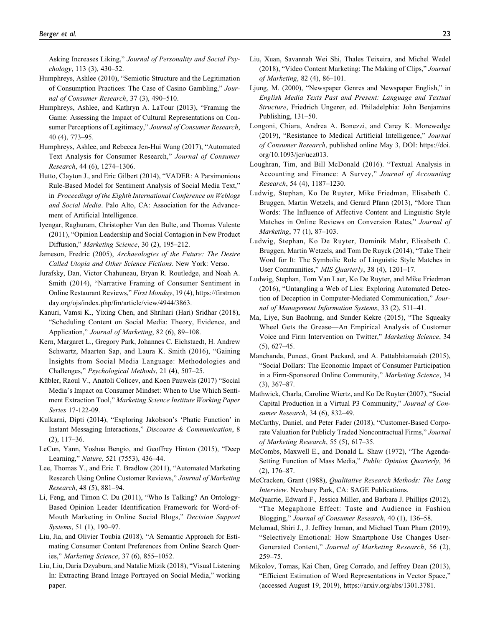Asking Increases Liking," Journal of Personality and Social Psychology, 113 (3), 430–52.

- Humphreys, Ashlee (2010), "Semiotic Structure and the Legitimation of Consumption Practices: The Case of Casino Gambling," Journal of Consumer Research, 37 (3), 490–510.
- Humphreys, Ashlee, and Kathryn A. LaTour (2013), "Framing the Game: Assessing the Impact of Cultural Representations on Consumer Perceptions of Legitimacy," Journal of Consumer Research, 40 (4), 773–95.
- Humphreys, Ashlee, and Rebecca Jen-Hui Wang (2017), "Automated Text Analysis for Consumer Research," Journal of Consumer Research, 44 (6), 1274–1306.
- Hutto, Clayton J., and Eric Gilbert (2014), "VADER: A Parsimonious Rule-Based Model for Sentiment Analysis of Social Media Text," in Proceedings of the Eighth International Conference on Weblogs and Social Media. Palo Alto, CA: Association for the Advancement of Artificial Intelligence.
- Iyengar, Raghuram, Christopher Van den Bulte, and Thomas Valente (2011), "Opinion Leadership and Social Contagion in New Product Diffusion," Marketing Science, 30 (2), 195–212.
- Jameson, Fredric (2005), Archaeologies of the Future: The Desire Called Utopia and Other Science Fictions. New York: Verso.
- Jurafsky, Dan, Victor Chahuneau, Bryan R. Routledge, and Noah A. Smith (2014), "Narrative Framing of Consumer Sentiment in Online Restaurant Reviews," First Monday, 19 (4), [https://firstmon](https://firstmonday.org/ojs/index.php/fm/article/view/4944/3863) [day.org/ojs/index.php/fm/article/view/4944/3863.](https://firstmonday.org/ojs/index.php/fm/article/view/4944/3863)
- Kanuri, Vamsi K., Yixing Chen, and Shrihari (Hari) Sridhar (2018), "Scheduling Content on Social Media: Theory, Evidence, and Application," Journal of Marketing, 82 (6), 89-108.
- Kern, Margaret L., Gregory Park, Johannes C. Eichstaedt, H. Andrew Schwartz, Maarten Sap, and Laura K. Smith (2016), "Gaining Insights from Social Media Language: Methodologies and Challenges," Psychological Methods, 21 (4), 507–25.
- Kübler, Raoul V., Anatoli Colicev, and Koen Pauwels (2017) "Social Media's Impact on Consumer Mindset: When to Use Which Sentiment Extraction Tool," Marketing Science Institute Working Paper Series 17-122-09.
- Kulkarni, Dipti (2014), "Exploring Jakobson's 'Phatic Function' in Instant Messaging Interactions," Discourse & Communication, 8 (2), 117–36.
- LeCun, Yann, Yoshua Bengio, and Geoffrey Hinton (2015), "Deep Learning," Nature, 521 (7553), 436–44.
- Lee, Thomas Y., and Eric T. Bradlow (2011), "Automated Marketing Research Using Online Customer Reviews," Journal of Marketing Research, 48 (5), 881–94.
- Li, Feng, and Timon C. Du (2011), "Who Is Talking? An Ontology-Based Opinion Leader Identification Framework for Word-of-Mouth Marketing in Online Social Blogs," Decision Support Systems, 51 (1), 190–97.
- Liu, Jia, and Olivier Toubia (2018), "A Semantic Approach for Estimating Consumer Content Preferences from Online Search Queries," Marketing Science, 37 (6), 855–1052.
- Liu, Liu, Daria Dzyabura, and Natalie Mizik (2018), "Visual Listening In: Extracting Brand Image Portrayed on Social Media," working paper.
- Liu, Xuan, Savannah Wei Shi, Thales Teixeira, and Michel Wedel (2018), "Video Content Marketing: The Making of Clips," Journal of Marketing, 82 (4), 86–101.
- Ljung, M. (2000), "Newspaper Genres and Newspaper English," in English Media Texts Past and Present: Language and Textual Structure, Friedrich Ungerer, ed. Philadelphia: John Benjamins Publishing, 131–50.
- Longoni, Chiara, Andrea A. Bonezzi, and Carey K. Morewedge (2019), "Resistance to Medical Artificial Intelligence," Journal of Consumer Research, published online May 3, DOI: https://doi. org/10.1093/jcr/ucz013.
- Loughran, Tim, and Bill McDonald (2016). "Textual Analysis in Accounting and Finance: A Survey," Journal of Accounting Research, 54 (4), 1187–1230.
- Ludwig, Stephan, Ko De Ruyter, Mike Friedman, Elisabeth C. Bruggen, Martin Wetzels, and Gerard Pfann (2013), "More Than Words: The Influence of Affective Content and Linguistic Style Matches in Online Reviews on Conversion Rates," Journal of Marketing, 77 (1), 87–103.
- Ludwig, Stephan, Ko De Ruyter, Dominik Mahr, Elisabeth C. Bruggen, Martin Wetzels, and Tom De Ruyck (2014), "Take Their Word for It: The Symbolic Role of Linguistic Style Matches in User Communities," MIS Quarterly, 38 (4), 1201-17.
- Ludwig, Stephan, Tom Van Laer, Ko De Ruyter, and Mike Friedman (2016), "Untangling a Web of Lies: Exploring Automated Detection of Deception in Computer-Mediated Communication," Journal of Management Information Systems, 33 (2), 511–41.
- Ma, Liye, Sun Baohung, and Sunder Kekre (2015), "The Squeaky Wheel Gets the Grease—An Empirical Analysis of Customer Voice and Firm Intervention on Twitter," Marketing Science, 34 (5), 627–45.
- Manchanda, Puneet, Grant Packard, and A. Pattabhitamaiah (2015), "Social Dollars: The Economic Impact of Consumer Participation in a Firm-Sponsored Online Community," Marketing Science, 34 (3), 367–87.
- Mathwick, Charla, Caroline Wiertz, and Ko De Ruyter (2007), "Social Capital Production in a Virtual P3 Community," Journal of Consumer Research, 34 (6), 832–49.
- McCarthy, Daniel, and Peter Fader (2018), "Customer-Based Corporate Valuation for Publicly Traded Noncontractual Firms," Journal of Marketing Research, 55 (5), 617–35.
- McCombs, Maxwell E., and Donald L. Shaw (1972), "The Agenda-Setting Function of Mass Media," Public Opinion Quarterly, 36 (2), 176–87.
- McCracken, Grant (1988), Qualitative Research Methods: The Long Interview. Newbury Park, CA: SAGE Publications.
- McQuarrie, Edward F., Jessica Miller, and Barbara J. Phillips (2012), "The Megaphone Effect: Taste and Audience in Fashion Blogging," Journal of Consumer Research, 40 (1), 136–58.
- Melumad, Shiri J., J. Jeffrey Inman, and Michael Tuan Pham (2019), "Selectively Emotional: How Smartphone Use Changes User-Generated Content," Journal of Marketing Research, 56 (2), 259–75.
- Mikolov, Tomas, Kai Chen, Greg Corrado, and Jeffrey Dean (2013), "Efficient Estimation of Word Representations in Vector Space," (accessed August 19, 2019),<https://arxiv.org/abs/1301.3781>.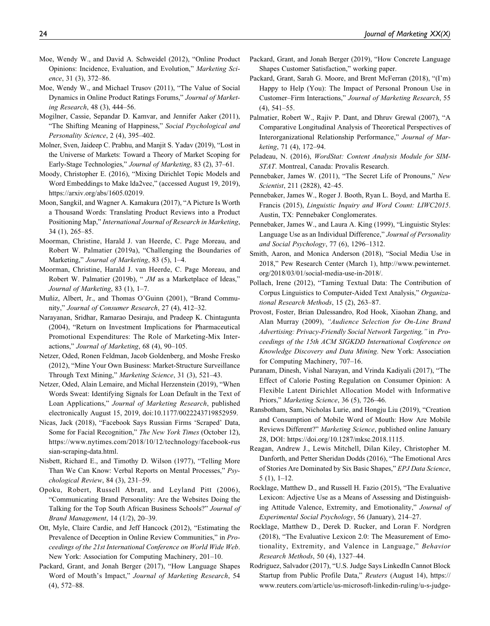- Moe, Wendy W., and David A. Schweidel (2012), "Online Product Opinions: Incidence, Evaluation, and Evolution," Marketing Science, 31 (3), 372–86.
- Moe, Wendy W., and Michael Trusov (2011), "The Value of Social Dynamics in Online Product Ratings Forums," Journal of Marketing Research, 48 (3), 444–56.
- Mogilner, Cassie, Sepandar D. Kamvar, and Jennifer Aaker (2011), "The Shifting Meaning of Happiness," Social Psychological and Personality Science, 2 (4), 395–402.
- Molner, Sven, Jaideep C. Prabhu, and Manjit S. Yadav (2019), "Lost in the Universe of Markets: Toward a Theory of Market Scoping for Early-Stage Technologies," Journal of Marketing, 83 (2), 37–61.
- Moody, Christopher E. (2016), "Mixing Dirichlet Topic Models and Word Embeddings to Make lda2vec," (accessed August 19, 2019), <https://arxiv.org/abs/1605.02019>.
- Moon, Sangkil, and Wagner A. Kamakura (2017), "A Picture Is Worth a Thousand Words: Translating Product Reviews into a Product Positioning Map," International Journal of Research in Marketing, 34 (1), 265–85.
- Moorman, Christine, Harald J. van Heerde, C. Page Moreau, and Robert W. Palmatier (2019a), "Challenging the Boundaries of Marketing," Journal of Marketing, 83 (5), 1–4.
- Moorman, Christine, Harald J. van Heerde, C. Page Moreau, and Robert W. Palmatier (2019b), " JM as a Marketplace of Ideas," Journal of Marketing, 83 (1), 1–7.
- Muñiz, Albert, Jr., and Thomas O'Guinn (2001), "Brand Community," Journal of Consumer Research, 27 (4), 412–32.
- Narayanan, Sridhar, Ramarao Desiraju, and Pradeep K. Chintagunta (2004), "Return on Investment Implications for Pharmaceutical Promotional Expenditures: The Role of Marketing-Mix Interactions," Journal of Marketing, 68 (4), 90–105.
- Netzer, Oded, Ronen Feldman, Jacob Goldenberg, and Moshe Fresko (2012), "Mine Your Own Business: Market-Structure Surveillance Through Text Mining," Marketing Science, 31 (3), 521–43.
- Netzer, Oded, Alain Lemaire, and Michal Herzenstein (2019), "When Words Sweat: Identifying Signals for Loan Default in the Text of Loan Applications," Journal of Marketing Research, published electronically August 15, 2019, doi:10.1177/0022243719852959.
- Nicas, Jack (2018), "Facebook Says Russian Firms 'Scraped' Data, Some for Facial Recognition," The New York Times (October 12), [https://www.nytimes.com/2018/10/12/technology/facebook-rus](https://www.nytimes.com/2018/10/12/technology/facebook-russian-scraping-data.html) [sian-scraping-data.html.](https://www.nytimes.com/2018/10/12/technology/facebook-russian-scraping-data.html)
- Nisbett, Richard E., and Timothy D. Wilson (1977), "Telling More Than We Can Know: Verbal Reports on Mental Processes," Psychological Review, 84 (3), 231–59.
- Opoku, Robert, Russell Abratt, and Leyland Pitt (2006), "Communicating Brand Personality: Are the Websites Doing the Talking for the Top South African Business Schools?" Journal of Brand Management, 14 (1/2), 20–39.
- Ott, Myle, Claire Cardie, and Jeff Hancock (2012), "Estimating the Prevalence of Deception in Online Review Communities," in Proceedings of the 21st International Conference on World Wide Web. New York: Association for Computing Machinery, 201–10.
- Packard, Grant, and Jonah Berger (2017), "How Language Shapes Word of Mouth's Impact," Journal of Marketing Research, 54 (4), 572–88.
- Packard, Grant, and Jonah Berger (2019), "How Concrete Language Shapes Customer Satisfaction," working paper.
- Packard, Grant, Sarah G. Moore, and Brent McFerran (2018), "(I'm) Happy to Help (You): The Impact of Personal Pronoun Use in Customer–Firm Interactions," Journal of Marketing Research, 55 (4), 541–55.
- Palmatier, Robert W., Rajiv P. Dant, and Dhruv Grewal (2007), "A Comparative Longitudinal Analysis of Theoretical Perspectives of Interorganizational Relationship Performance," Journal of Marketing, 71 (4), 172–94.
- Peladeau, N. (2016), WordStat: Content Analysis Module for SIM-STAT. Montreal, Canada: Provalis Research.
- Pennebaker, James W. (2011), "The Secret Life of Pronouns," New Scientist, 211 (2828), 42–45.
- Pennebaker, James W., Roger J. Booth, Ryan L. Boyd, and Martha E. Francis (2015), Linguistic Inquiry and Word Count: LIWC2015. Austin, TX: Pennebaker Conglomerates.
- Pennebaker, James W., and Laura A. King (1999), "Linguistic Styles: Language Use as an Individual Difference," Journal of Personality and Social Psychology, 77 (6), 1296–1312.
- Smith, Aaron, and Monica Anderson (2018), "Social Media Use in 2018," Pew Research Center (March 1), [http://www.pewinternet.](http://www.pewinternet.org/2018/03/01/social-media-use-in-2018/) [org/2018/03/01/social-media-use-in-2018/](http://www.pewinternet.org/2018/03/01/social-media-use-in-2018/).
- Pollach, Irene (2012), "Taming Textual Data: The Contribution of Corpus Linguistics to Computer-Aided Text Analysis," Organizational Research Methods, 15 (2), 263–87.
- Provost, Foster, Brian Dalessandro, Rod Hook, Xiaohan Zhang, and Alan Murray (2009), "Audience Selection for On-Line Brand Advertising: Privacy-Friendly Social Network Targeting," in Proceedings of the 15th ACM SIGKDD International Conference on Knowledge Discovery and Data Mining. New York: Association for Computing Machinery, 707–16.
- Puranam, Dinesh, Vishal Narayan, and Vrinda Kadiyali (2017), "The Effect of Calorie Posting Regulation on Consumer Opinion: A Flexible Latent Dirichlet Allocation Model with Informative Priors," Marketing Science, 36 (5), 726-46.
- Ransbotham, Sam, Nicholas Lurie, and Hongju Liu (2019), "Creation and Consumption of Mobile Word of Mouth: How Are Mobile Reviews Different?" Marketing Science, published online January 28, DOI: https://doi.org/10.1287/mksc.2018.1115.
- Reagan, Andrew J., Lewis Mitchell, Dilan Kiley, Christopher M. Danforth, and Petter Sheridan Dodds (2016), "The Emotional Arcs of Stories Are Dominated by Six Basic Shapes," EPJ Data Science, 5 (1), 1–12.
- Rocklage, Matthew D., and Russell H. Fazio (2015), "The Evaluative Lexicon: Adjective Use as a Means of Assessing and Distinguishing Attitude Valence, Extremity, and Emotionality," Journal of Experimental Social Psychology, 56 (January), 214–27.
- Rocklage, Matthew D., Derek D. Rucker, and Loran F. Nordgren (2018), "The Evaluative Lexicon 2.0: The Measurement of Emotionality, Extremity, and Valence in Language," Behavior Research Methods, 50 (4), 1327–44.
- Rodriguez, Salvador (2017), "U.S. Judge Says LinkedIn Cannot Block Startup from Public Profile Data," Reuters (August 14), [https://](https://www.reuters.com/article/us-microsoft-linkedin-ruling/u-s-judge-says-linkedin-cannot-block-startup-from-public-profile-data-idUSKCN1AU2BV) [www.reuters.com/article/us-microsoft-linkedin-ruling/u-s-judge-](https://www.reuters.com/article/us-microsoft-linkedin-ruling/u-s-judge-says-linkedin-cannot-block-startup-from-public-profile-data-idUSKCN1AU2BV)